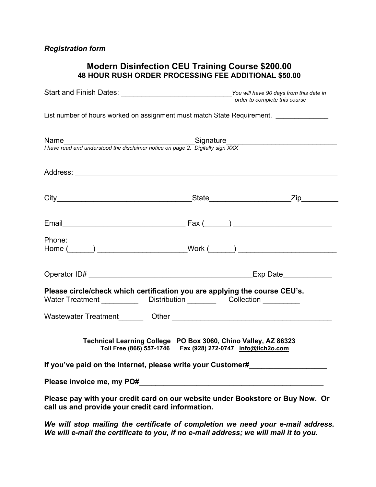# *Registration form*

## **Modern Disinfection CEU Training Course \$200.00 48 HOUR RUSH ORDER PROCESSING FEE ADDITIONAL \$50.00**

|                                                                                                                                                          | Start and Finish Dates: ___________________________________You will have 90 days from this date in<br>order to complete this course |  |  |
|----------------------------------------------------------------------------------------------------------------------------------------------------------|-------------------------------------------------------------------------------------------------------------------------------------|--|--|
|                                                                                                                                                          | List number of hours worked on assignment must match State Requirement. _________                                                   |  |  |
|                                                                                                                                                          | Name<br>I have read and understood the disclaimer notice on page 2. Digitally sign XXX                                              |  |  |
|                                                                                                                                                          |                                                                                                                                     |  |  |
|                                                                                                                                                          |                                                                                                                                     |  |  |
|                                                                                                                                                          |                                                                                                                                     |  |  |
| Phone:                                                                                                                                                   | Home (______) _________________________Work (______) ___________________________                                                    |  |  |
|                                                                                                                                                          |                                                                                                                                     |  |  |
| Please circle/check which certification you are applying the course CEU's.<br>Water Treatment _____________ Distribution __________ Collection _________ |                                                                                                                                     |  |  |
|                                                                                                                                                          |                                                                                                                                     |  |  |
|                                                                                                                                                          | Technical Learning College PO Box 3060, Chino Valley, AZ 86323<br>Toll Free (866) 557-1746    Fax (928) 272-0747    info@tlch2o.com |  |  |
|                                                                                                                                                          | If you've paid on the Internet, please write your Customer#                                                                         |  |  |
|                                                                                                                                                          |                                                                                                                                     |  |  |
| call us and provide your credit card information.                                                                                                        | Please pay with your credit card on our website under Bookstore or Buy Now. Or                                                      |  |  |

*We will stop mailing the certificate of completion we need your e-mail address. We will e-mail the certificate to you, if no e-mail address; we will mail it to you.*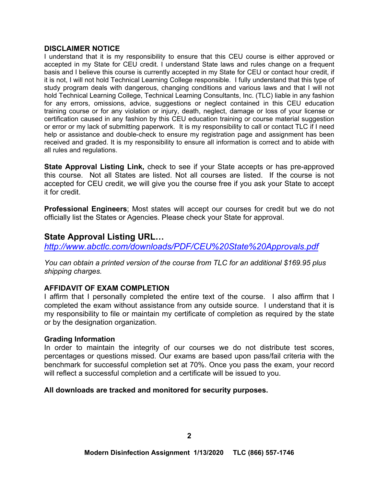## **DISCLAIMER NOTICE**

I understand that it is my responsibility to ensure that this CEU course is either approved or accepted in my State for CEU credit. I understand State laws and rules change on a frequent basis and I believe this course is currently accepted in my State for CEU or contact hour credit, if it is not, I will not hold Technical Learning College responsible. I fully understand that this type of study program deals with dangerous, changing conditions and various laws and that I will not hold Technical Learning College, Technical Learning Consultants, Inc. (TLC) liable in any fashion for any errors, omissions, advice, suggestions or neglect contained in this CEU education training course or for any violation or injury, death, neglect, damage or loss of your license or certification caused in any fashion by this CEU education training or course material suggestion or error or my lack of submitting paperwork. It is my responsibility to call or contact TLC if I need help or assistance and double-check to ensure my registration page and assignment has been received and graded. It is my responsibility to ensure all information is correct and to abide with all rules and regulations.

**State Approval Listing Link,** check to see if your State accepts or has pre-approved this course. Not all States are listed. Not all courses are listed. If the course is not accepted for CEU credit, we will give you the course free if you ask your State to accept it for credit.

**Professional Engineers**; Most states will accept our courses for credit but we do not officially list the States or Agencies. Please check your State for approval.

# **State Approval Listing URL…**

*<http://www.abctlc.com/downloads/PDF/CEU%20State%20Approvals.pdf>*

*You can obtain a printed version of the course from TLC for an additional \$169.95 plus shipping charges.* 

## **AFFIDAVIT OF EXAM COMPLETION**

I affirm that I personally completed the entire text of the course. I also affirm that I completed the exam without assistance from any outside source. I understand that it is my responsibility to file or maintain my certificate of completion as required by the state or by the designation organization.

## **Grading Information**

In order to maintain the integrity of our courses we do not distribute test scores, percentages or questions missed. Our exams are based upon pass/fail criteria with the benchmark for successful completion set at 70%. Once you pass the exam, your record will reflect a successful completion and a certificate will be issued to you.

## **All downloads are tracked and monitored for security purposes.**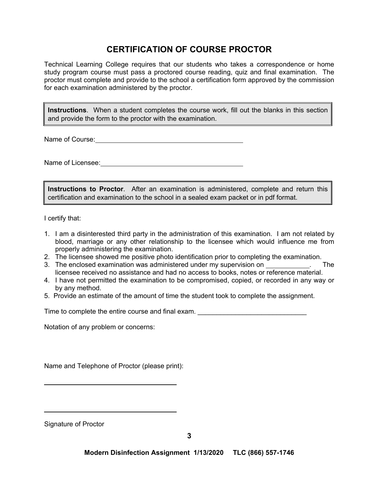# **CERTIFICATION OF COURSE PROCTOR**

Technical Learning College requires that our students who takes a correspondence or home study program course must pass a proctored course reading, quiz and final examination. The proctor must complete and provide to the school a certification form approved by the commission for each examination administered by the proctor.

**Instructions**. When a student completes the course work, fill out the blanks in this section and provide the form to the proctor with the examination.

Name of Course: **Name of Course:** 

Name of Licensee:

**Instructions to Proctor**. After an examination is administered, complete and return this certification and examination to the school in a sealed exam packet or in pdf format.

I certify that:

- 1. I am a disinterested third party in the administration of this examination. I am not related by blood, marriage or any other relationship to the licensee which would influence me from properly administering the examination.
- 2. The licensee showed me positive photo identification prior to completing the examination.
- 3. The enclosed examination was administered under my supervision on . The licensee received no assistance and had no access to books, notes or reference material.
- 4. I have not permitted the examination to be compromised, copied, or recorded in any way or by any method.
- 5. Provide an estimate of the amount of time the student took to complete the assignment.

Time to complete the entire course and final exam.

Notation of any problem or concerns:

Name and Telephone of Proctor (please print):

Signature of Proctor

 $\overline{a}$ 

 $\overline{a}$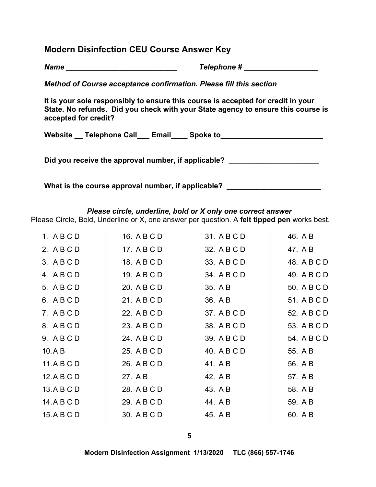# **Modern Disinfection CEU Course Answer Key**

*Name \_\_\_\_\_\_\_\_\_\_\_\_\_\_\_\_\_\_\_\_\_\_\_\_\_\_\_ Telephone # \_\_\_\_\_\_\_\_\_\_\_\_\_\_\_\_\_\_* 

*Method of Course acceptance confirmation. Please fill this section* 

**It is your sole responsibly to ensure this course is accepted for credit in your State. No refunds. Did you check with your State agency to ensure this course is accepted for credit?** 

Website Telephone Call Email Spoke to

Did you receive the approval number, if applicable? \_\_\_\_\_\_\_\_\_\_\_\_\_\_\_\_\_\_\_\_\_\_\_\_\_\_\_\_\_

What is the course approval number, if applicable?

*Please circle, underline, bold or X only one correct answer* 

Please Circle, Bold, Underline or X, one answer per question. A **felt tipped pen** works best.

| 1. ABCD     | 16. A B C D | 31. A B C D | 46. A B     |
|-------------|-------------|-------------|-------------|
| 2. ABCD     | 17. A B C D | 32. A B C D | 47. A B     |
| 3. ABCD     | 18. A B C D | 33. A B C D | 48. A B C D |
| 4. ABCD     | 19. A B C D | 34. A B C D | 49. A B C D |
| 5. A B C D  | 20. A B C D | 35. A B     | 50. A B C D |
| 6. ABCD     | 21. A B C D | 36. A B     | 51. A B C D |
| 7. ABCD     | 22. A B C D | 37. A B C D | 52. A B C D |
| 8. ABCD     | 23. A B C D | 38. A B C D | 53. A B C D |
| 9. ABCD     | 24. A B C D | 39. A B C D | 54. A B C D |
| 10.A B      | 25. A B C D | 40. A B C D | 55. A B     |
| 11.ABCD     | 26. A B C D | 41. A B     | 56. A B     |
| 12.ABCD     | 27. A B     | 42. A B     | 57. A B     |
| 13.A B C D  | 28. A B C D | 43. A B     | 58. A B     |
| 14. A B C D | 29. A B C D | 44. A B     | 59. A B     |
| 15. A B C D | 30. A B C D | 45. A B     | 60. A B     |
|             |             |             |             |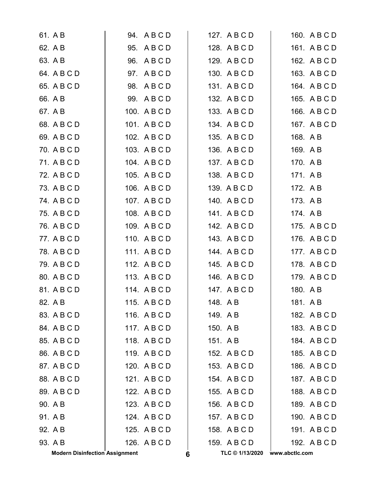| <b>Modern Disinfection Assignment</b> | 6            | TLC © 1/13/2020 | www.abctlc.com |              |
|---------------------------------------|--------------|-----------------|----------------|--------------|
| 93. A B                               | 126. A B C D | 159. A B C D    |                | 192. A B C D |
| 92. A B                               | 125. A B C D | 158. A B C D    |                | 191. A B C D |
| 91. A B                               | 124. ABCD    | 157. A B C D    |                | 190. A B C D |
| 90. A B                               | 123. A B C D | 156. A B C D    |                | 189. A B C D |
| 89. A B C D                           | 122. A B C D | 155. A B C D    |                | 188. A B C D |
| 88. A B C D                           | 121. A B C D | 154. A B C D    |                | 187. A B C D |
| 87. A B C D                           | 120. A B C D | 153. A B C D    |                | 186. A B C D |
| 86. A B C D                           | 119. ABCD    | 152. A B C D    |                | 185. A B C D |
| 85. A B C D                           | 118. ABCD    | 151. AB         |                | 184. A B C D |
| 84. A B C D                           | 117. ABCD    | 150. AB         |                | 183. A B C D |
| 83. A B C D                           | 116. ABCD    | 149. A B        |                | 182. A B C D |
| 82. A B                               | 115. A B C D | 148. A B        | 181. AB        |              |
| 81. A B C D                           | 114. A B C D | 147. A B C D    |                | 180. A B     |
| 80. A B C D                           | 113. ABCD    | 146. A B C D    |                | 179. ABCD    |
| 79. A B C D                           | 112. A B C D | 145. A B C D    |                | 178. A B C D |
| 78. A B C D                           | 111. ABCD    | 144. A B C D    |                | 177. A B C D |
| 77. A B C D                           | 110. ABCD    | 143. A B C D    |                | 176. A B C D |
| 76. A B C D                           | 109. ABCD    | 142. A B C D    |                | 175. A B C D |
| 75. A B C D                           | 108. A B C D | 141. A B C D    | 174. A B       |              |
| 74. A B C D                           | 107. A B C D | 140. A B C D    | 173. A B       |              |
| 73. A B C D                           | 106. A B C D | 139. A B C D    | 172. AB        |              |
| 72. A B C D                           | 105. A B C D | 138. A B C D    | 171. AB        |              |
| 71. A B C D                           | 104. A B C D | 137. A B C D    | 170. A B       |              |
| 70. A B C D                           | 103. A B C D | 136. A B C D    | 169. A B       |              |
| 69. A B C D                           | 102. A B C D | 135. A B C D    |                | 168. A B     |
| 68. A B C D                           | 101. ABCD    | 134. A B C D    |                | 167. A B C D |
| 67. A B                               | 100. A B C D | 133. A B C D    |                | 166. A B C D |
| 66. A B                               | 99. ABCD     | 132. A B C D    |                | 165. A B C D |
| 65. A B C D                           | 98. A B C D  | 131. A B C D    |                | 164. A B C D |
| 64. A B C D                           | 97. A B C D  | 130. A B C D    |                | 163. A B C D |
| 63. A B                               | 96. A B C D  | 129. A B C D    |                | 162. A B C D |
| 62. A B                               | 95. A B C D  | 128. A B C D    |                | 161. ABCD    |
| 61. A B                               | 94. A B C D  | 127. A B C D    |                | 160. A B C D |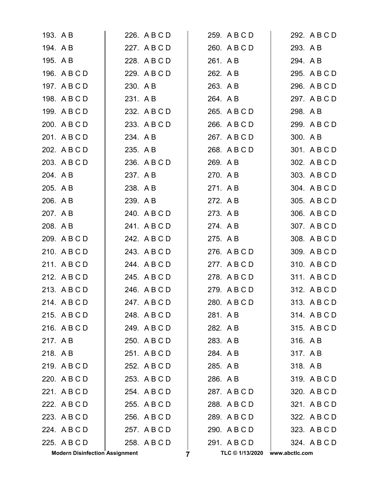| 193. A B                              | 226. A B C D |          | 259. A B C D    |                | 292. A B C D |
|---------------------------------------|--------------|----------|-----------------|----------------|--------------|
| 194. AB                               | 227. ABCD    |          | 260. A B C D    | 293. A B       |              |
| 195. A B                              | 228. A B C D | 261. AB  |                 | 294. A B       |              |
| 196. A B C D                          | 229. A B C D | 262. A B |                 |                | 295. A B C D |
| 197. A B C D                          | 230. A B     | 263. A B |                 |                | 296. A B C D |
| 198. A B C D                          | 231. AB      | 264. AB  |                 |                | 297. A B C D |
| 199. A B C D                          | 232. A B C D |          | 265. A B C D    | 298. A B       |              |
| 200. A B C D                          | 233. A B C D |          | 266. A B C D    |                | 299. A B C D |
| 201. A B C D                          | 234. AB      |          | 267. A B C D    | 300. AB        |              |
| 202. A B C D                          | 235. A B     |          | 268. A B C D    |                | 301. A B C D |
| 203. A B C D                          | 236. A B C D | 269. AB  |                 |                | 302. A B C D |
| 204. A B                              | 237. A B     | 270. A B |                 |                | 303. A B C D |
| 205. A B                              | 238. AB      | 271. AB  |                 |                | 304. A B C D |
| 206. A B                              | 239. AB      | 272. AB  |                 |                | 305. A B C D |
| 207. A B                              | 240. A B C D | 273. A B |                 |                | 306. A B C D |
| 208. A B                              | 241. A B C D | 274. A B |                 |                | 307. A B C D |
| 209. A B C D                          | 242. A B C D | 275. A B |                 |                | 308. A B C D |
| 210. A B C D                          | 243. A B C D |          | 276. A B C D    |                | 309. A B C D |
| 211. A B C D                          | 244. A B C D |          | 277. ABCD       |                | 310. A B C D |
| 212. A B C D                          | 245. A B C D |          | 278. A B C D    |                | 311. A B C D |
| 213. A B C D                          | 246. A B C D |          | 279. A B C D    |                | 312. A B C D |
| 214. A B C D                          | 247. ABCD    |          | 280. ABCD       |                | 313. A B C D |
| 215. A B C D                          | 248. ABCD    | 281. AB  |                 |                | 314. A B C D |
| 216. ABCD                             | 249. ABCD    | 282. A B |                 |                | 315. A B C D |
| 217. AB                               | 250. A B C D | 283. AB  |                 | 316. AB        |              |
| 218. AB                               | 251. ABCD    | 284. AB  |                 | 317. AB        |              |
| 219. ABCD                             | 252. A B C D | 285. A B |                 | 318. AB        |              |
| 220. A B C D                          | 253. A B C D | 286. A B |                 |                | 319. A B C D |
| 221. ABCD                             | 254. ABCD    |          | 287. A B C D    |                | 320. A B C D |
| 222. A B C D                          | 255. A B C D |          | 288. A B C D    |                | 321. A B C D |
| 223. A B C D                          | 256. A B C D |          | 289. A B C D    |                | 322. A B C D |
| 224. A B C D                          | 257. ABCD    |          | 290. A B C D    |                | 323. A B C D |
| 225. ABCD                             | 258. A B C D |          | 291. ABCD       |                | 324. A B C D |
| <b>Modern Disinfection Assignment</b> |              | 7        | TLC © 1/13/2020 | www.abctlc.com |              |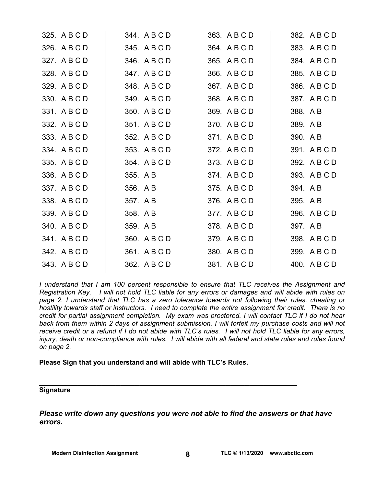| 325. A B C D | 344. A B C D | 363. A B C D | 382. A B C D |
|--------------|--------------|--------------|--------------|
| 326. A B C D | 345. A B C D | 364. A B C D | 383. A B C D |
| 327. ABCD    | 346. A B C D | 365. A B C D | 384. A B C D |
| 328. A B C D | 347. ABCD    | 366. A B C D | 385. A B C D |
| 329. A B C D | 348. A B C D | 367. A B C D | 386. A B C D |
| 330. A B C D | 349. A B C D | 368. A B C D | 387. A B C D |
| 331. A B C D | 350. A B C D | 369. ABCD    | 388. AB      |
| 332. A B C D | 351. A B C D | 370. ABCD    | 389. A B     |
| 333. A B C D | 352. A B C D | 371. ABCD    | 390. A B     |
| 334. A B C D | 353. A B C D | 372. A B C D | 391. A B C D |
| 335. A B C D | 354. A B C D | 373. A B C D | 392. A B C D |
| 336. A B C D | 355. A B     | 374. ABCD    | 393. A B C D |
| 337. A B C D | 356. A B     | 375. A B C D | 394. AB      |
| 338. A B C D | 357. A B     | 376. ABCD    | 395. AB      |
| 339. A B C D | 358. A B     | 377. ABCD    | 396. A B C D |
| 340. A B C D | 359. AB      | 378. ABCD    | 397. AB      |
| 341. ABCD    | 360. A B C D | 379. ABCD    | 398. A B C D |
| 342. A B C D | 361. ABCD    | 380. A B C D | 399. A B C D |
| 343. A B C D | 362. A B C D | 381. ABCD    | 400. A B C D |

*I understand that I am 100 percent responsible to ensure that TLC receives the Assignment and Registration Key. I will not hold TLC liable for any errors or damages and will abide with rules on page 2. I understand that TLC has a zero tolerance towards not following their rules, cheating or hostility towards staff or instructors. I need to complete the entire assignment for credit. There is no credit for partial assignment completion. My exam was proctored. I will contact TLC if I do not hear back from them within 2 days of assignment submission. I will forfeit my purchase costs and will not receive credit or a refund if I do not abide with TLC's rules. I will not hold TLC liable for any errors, injury, death or non-compliance with rules. I will abide with all federal and state rules and rules found on page 2.* 

#### **Please Sign that you understand and will abide with TLC's Rules.**

# **\_\_\_\_\_\_\_\_\_\_\_\_\_\_\_\_\_\_\_\_\_\_\_\_\_\_\_\_\_\_\_\_\_\_\_\_\_\_\_\_\_\_\_\_\_\_\_\_\_\_\_\_\_\_ Signature**

*Please write down any questions you were not able to find the answers or that have errors.*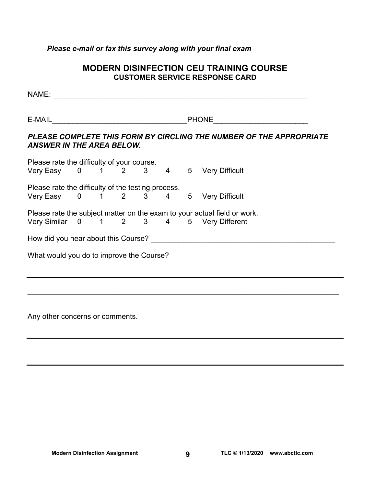# *Please e-mail or fax this survey along with your final exam*

# **MODERN DISINFECTION CEU TRAINING COURSE CUSTOMER SERVICE RESPONSE CARD**

| $E-MAIL$                                           |  |  |  | <b>PHONE</b>                                                                                                        |
|----------------------------------------------------|--|--|--|---------------------------------------------------------------------------------------------------------------------|
| <b>ANSWER IN THE AREA BELOW.</b>                   |  |  |  | PLEASE COMPLETE THIS FORM BY CIRCLING THE NUMBER OF THE APPROPRIATE                                                 |
| Please rate the difficulty of your course.         |  |  |  | riease rate the difficulty of your course.<br>Very Easy  0  1  2  3  4  5  Very Difficult                           |
| Please rate the difficulty of the testing process. |  |  |  | Very Easy 0 1 2 3 4 5 Very Difficult                                                                                |
|                                                    |  |  |  | Please rate the subject matter on the exam to your actual field or work.<br>Very Similar 0 1 2 3 4 5 Very Different |
|                                                    |  |  |  | How did you hear about this Course?                                                                                 |
| What would you do to improve the Course?           |  |  |  |                                                                                                                     |

Any other concerns or comments.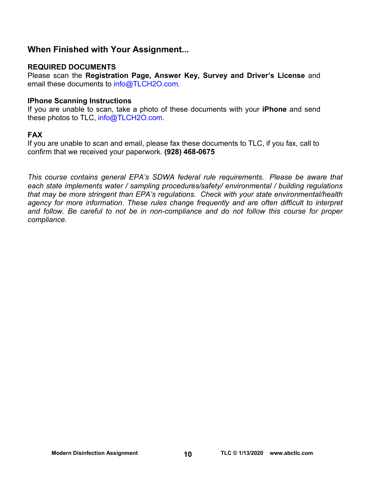# **When Finished with Your Assignment...**

## **REQUIRED DOCUMENTS**

Please scan the **Registration Page, Answer Key, Survey and Driver's License** and email these documents to info@TLCH2O.com.

## **IPhone Scanning Instructions**

If you are unable to scan, take a photo of these documents with your **iPhone** and send these photos to TLC, info@TLCH2O.com.

## **FAX**

If you are unable to scan and email, please fax these documents to TLC, if you fax, call to confirm that we received your paperwork. **(928) 468-0675** 

*This course contains general EPA's SDWA federal rule requirements. Please be aware that each state implements water / sampling procedures/safety/ environmental / building regulations that may be more stringent than EPA's regulations. Check with your state environmental/health*  agency for more information. These rules change frequently and are often difficult to interpret and follow. Be careful to not be in non-compliance and do not follow this course for proper *compliance.*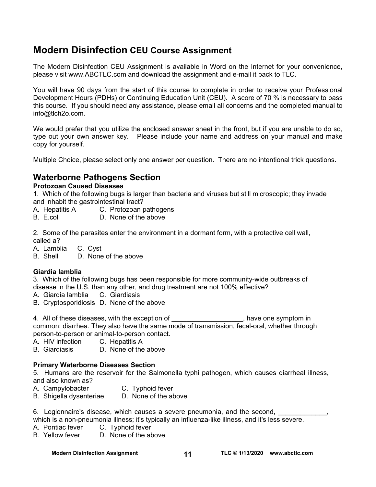# **Modern Disinfection CEU Course Assignment**

The Modern Disinfection CEU Assignment is available in Word on the Internet for your convenience, please visit [www.ABCTLC.com an](http://www.ABCTLC.com)d download the assignment and e-mail it back to TLC.

You will have 90 days from the start of this course to complete in order to receive your Professional Development Hours (PDHs) or Continuing Education Unit (CEU). A score of 70 % is necessary to pass this course. If you should need any assistance, please email all concerns and the completed manual to [info@tlch2o.com.](mailto:info@tlch2o.com) 

We would prefer that you utilize the enclosed answer sheet in the front, but if you are unable to do so, type out your own answer key. Please include your name and address on your manual and make copy for yourself.

Multiple Choice, please select only one answer per question. There are no intentional trick questions.

# **Waterborne Pathogens Section**

## **Protozoan Caused Diseases**

1. Which of the following bugs is larger than bacteria and viruses but still microscopic; they invade and inhabit the gastrointestinal tract?

- A. Hepatitis A C. Protozoan pathogens
- B. E.coli D. None of the above

2. Some of the parasites enter the environment in a dormant form, with a protective cell wall, called a?

- A. Lamblia C. Cyst
- B. Shell D. None of the above

## **Giardia lamblia**

3. Which of the following bugs has been responsible for more community-wide outbreaks of disease in the U.S. than any other, and drug treatment are not 100% effective?

- A. Giardia lamblia C. Giardiasis
- B. Cryptosporidiosis D. None of the above

4. All of these diseases, with the exception of  $\blacksquare$  the symptom in common: diarrhea. They also have the same mode of transmission, fecal-oral, whether through person-to-person or animal-to-person contact.

- A. HIV infection C. Hepatitis A
- B. Giardiasis D. None of the above

## **Primary Waterborne Diseases Section**

5. Humans are the reservoir for the Salmonella typhi pathogen, which causes diarrheal illness, and also known as?

- A. Campylobacter **C.** Typhoid fever
- B. Shigella dysenteriae D. None of the above
- 6. Legionnaire's disease, which causes a severe pneumonia, and the second,

which is a non-pneumonia illness; it's typically an influenza-like illness, and it's less severe.

- A. Pontiac fever C. Typhoid fever
- B. Yellow fever D. None of the above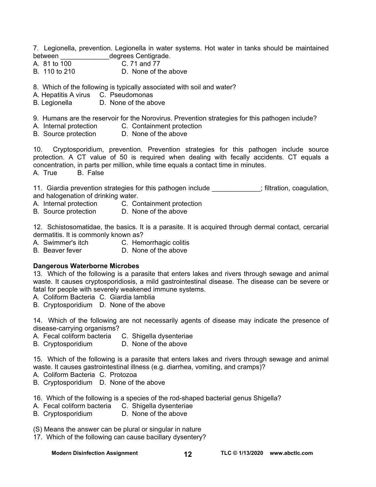7. Legionella, prevention. Legionella in water systems. Hot water in tanks should be maintained between \_\_\_\_\_\_\_\_\_\_\_\_\_\_degrees Centigrade.

- A. 81 to 100 C. 71 and 77
- B. 110 to 210 D. None of the above

8. Which of the following is typically associated with soil and water?

- A. Hepatitis A virus C. Pseudomonas
- B. Legionella D. None of the above
- 9. Humans are the reservoir for the Norovirus. Prevention strategies for this pathogen include?
- A. Internal protection C. Containment protection
- B. Source protection D. None of the above

10. Cryptosporidium, prevention. Prevention strategies for this pathogen include source protection. A CT value of 50 is required when dealing with fecally accidents. CT equals a concentration, in parts per million, while time equals a contact time in minutes.

A. True B. False

11. Giardia prevention strategies for this pathogen include **the set include**; filtration, coagulation, and halogenation of drinking water.

- A. Internal protection C. Containment protection
- B. Source protection D. None of the above

12. Schistosomatidae, the basics. It is a parasite. It is acquired through dermal contact, cercarial dermatitis. It is commonly known as?

A. Swimmer's itch C. Hemorrhagic colitis

B. Beaver fever D. None of the above

#### **Dangerous Waterborne Microbes**

13. Which of the following is a parasite that enters lakes and rivers through sewage and animal waste. It causes cryptosporidiosis, a mild gastrointestinal disease. The disease can be severe or fatal for people with severely weakened immune systems.

A. Coliform Bacteria C. Giardia lamblia

B. Cryptosporidium D. None of the above

14. Which of the following are not necessarily agents of disease may indicate the presence of disease-carrying organisms?

- A. Fecal coliform bacteria C. Shigella dysenteriae
- B. Cryptosporidium D. None of the above

15. Which of the following is a parasite that enters lakes and rivers through sewage and animal waste. It causes gastrointestinal illness (e.g. diarrhea, vomiting, and cramps)?

- A. Coliform Bacteria C. Protozoa
- B. Cryptosporidium D. None of the above
- 16. Which of the following is a species of the rod-shaped bacterial genus Shigella?
- A. Fecal coliform bacteria C. Shigella dysenteriae
- B. Cryptosporidium D. None of the above
- (S) Means the answer can be plural or singular in nature
- 17. Which of the following can cause bacillary dysentery?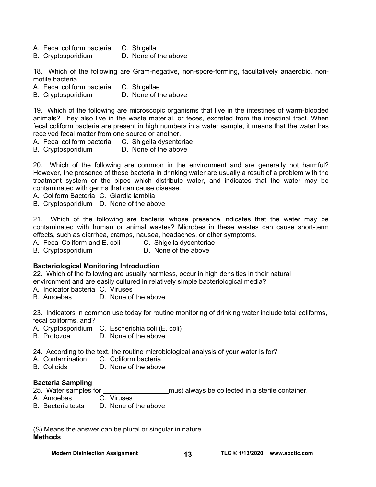- A. Fecal coliform bacteria C. Shigella
- B. Cryptosporidium D. None of the above

18. Which of the following are Gram-negative, non-spore-forming, facultatively anaerobic, nonmotile bacteria.

- A. Fecal coliform bacteria C. Shigellae
- B. Cryptosporidium D. None of the above

19. Which of the following are microscopic organisms that live in the intestines of warm-blooded animals? They also live in the waste material, or feces, excreted from the intestinal tract. When fecal coliform bacteria are present in high numbers in a water sample, it means that the water has received fecal matter from one source or another.

- A. Fecal coliform bacteria C. Shigella dysenteriae
- B. Cryptosporidium D. None of the above

20. Which of the following are common in the environment and are generally not harmful? However, the presence of these bacteria in drinking water are usually a result of a problem with the treatment system or the pipes which distribute water, and indicates that the water may be contaminated with germs that can cause disease.

- A. Coliform Bacteria C. Giardia lamblia
- B. Cryptosporidium D. None of the above

21. Which of the following are bacteria whose presence indicates that the water may be contaminated with human or animal wastes? Microbes in these wastes can cause short-term effects, such as diarrhea, cramps, nausea, headaches, or other symptoms.<br>A. Fecal Coliform and E. coli C. Shigella dysenteriae

- A. Fecal Coliform and E. coli
- B. Cryptosporidium D. None of the above

#### **Bacteriological Monitoring Introduction**

22. Which of the following are usually harmless, occur in high densities in their natural environment and are easily cultured in relatively simple bacteriological media?

- A. Indicator bacteria C. Viruses
- B. Amoebas D. None of the above

23. Indicators in common use today for routine monitoring of drinking water include total coliforms, fecal coliforms, and?

- A. Cryptosporidium C. Escherichia coli (E. coli)
- B. Protozoa D. None of the above
- 24. According to the text, the routine microbiological analysis of your water is for?
- A. Contamination C. Coliform bacteria
- B. Colloids D. None of the above

#### **Bacteria Sampling**

- 25. Water samples for **the samples of the same of the same of the sterile container.**
- A. Amoebas C. Viruses
- B. Bacteria tests D. None of the above

(S) Means the answer can be plural or singular in nature **Methods**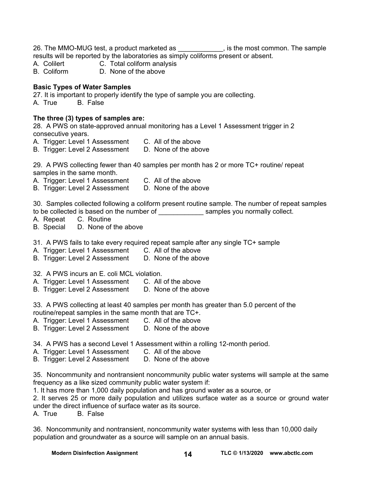| results will be reported by the laboratories as simply coliforms present or absent.                                                              | 26. The MMO-MUG test, a product marketed as ____________, is the most common. The sample        |
|--------------------------------------------------------------------------------------------------------------------------------------------------|-------------------------------------------------------------------------------------------------|
| A. Colilert <b>C.</b> Total coliform analysis<br>B. Coliform D. None of the above                                                                |                                                                                                 |
| <b>Basic Types of Water Samples</b><br>27. It is important to properly identify the type of sample you are collecting.<br>A. True B. False       |                                                                                                 |
| The three (3) types of samples are:<br>28. A PWS on state-approved annual monitoring has a Level 1 Assessment trigger in 2<br>consecutive years. |                                                                                                 |
| A. Trigger: Level 1 Assessment C. All of the above<br>B. Trigger: Level 2 Assessment D. None of the above                                        |                                                                                                 |
| samples in the same month.                                                                                                                       | 29. A PWS collecting fewer than 40 samples per month has 2 or more TC+ routine/ repeat          |
| A. Trigger: Level 1 Assessment C. All of the above                                                                                               |                                                                                                 |
| B. Trigger: Level 2 Assessment D. None of the above                                                                                              |                                                                                                 |
| to be collected is based on the number of set the samples you normally collect.<br>A. Repeat C. Routine<br>B. Special D. None of the above       | 30. Samples collected following a coliform present routine sample. The number of repeat samples |

- 31. A PWS fails to take every required repeat sample after any single TC+ sample A. Trigger: Level 1 Assessment C. All of the above
- A. Trigger: Level 1 Assessment
- B. Trigger: Level 2 Assessment D. None of the above
- 32. A PWS incurs an E. coli MCL violation.<br>A. Trigger: Level 1 Assessment C. All of the above
- A. Trigger: Level 1 Assessment
- B. Trigger: Level 2 Assessment D. None of the above

33. A PWS collecting at least 40 samples per month has greater than 5.0 percent of the routine/repeat samples in the same month that are TC+.

- A. Trigger: Level 1 Assessment C. All of the above
- B. Trigger: Level 2 Assessment D. None of the above
- 34. A PWS has a second Level 1 Assessment within a rolling 12-month period.
- A. Trigger: Level 1 Assessment C. All of the above
- B. Trigger: Level 2 Assessment D. None of the above

35. Noncommunity and nontransient noncommunity public water systems will sample at the same frequency as a like sized community public water system if:

1. It has more than 1,000 daily population and has ground water as a source, or

2. It serves 25 or more daily population and utilizes surface water as a source or ground water under the direct influence of surface water as its source.<br>A. True B. False

B. False

36. Noncommunity and nontransient, noncommunity water systems with less than 10,000 daily population and groundwater as a source will sample on an annual basis.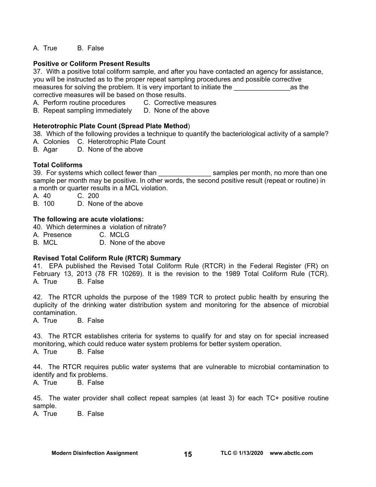A. True B. False

## **Positive or Coliform Present Results**

37. With a positive total coliform sample, and after you have contacted an agency for assistance, you will be instructed as to the proper repeat sampling procedures and possible corrective measures for solving the problem. It is very important to initiate the example as the corrective measures will be based on those results.

A. Perform routine procedures C. Corrective measures

B. Repeat sampling immediately D. None of the above

## **Heterotrophic Plate Count (Spread Plate Method**)

38. Which of the following provides a technique to quantify the bacteriological activity of a sample?

- A. Colonies C. Heterotrophic Plate Count
- B. Agar D. None of the above

## **Total Coliforms**

39. For systems which collect fewer than started as amples per month, no more than one sample per month may be positive. In other words, the second positive result (repeat or routine) in a month or quarter results in a MCL violation.

A. 40 C. 200

B. 100 D. None of the above

## **The following are acute violations:**

40. Which determines a violation of nitrate?

- A. Presence C. MCLG
- B. MCL D. None of the above

## **Revised Total Coliform Rule (RTCR) Summary**

41. EPA published the Revised Total Coliform Rule (RTCR) in the Federal Register (FR) on February 13, 2013 (78 FR 10269). It is the revision to the 1989 Total Coliform Rule (TCR). A. True B. False

42. The RTCR upholds the purpose of the 1989 TCR to protect public health by ensuring the duplicity of the drinking water distribution system and monitoring for the absence of microbial contamination.

A. True B. False

43. The RTCR establishes criteria for systems to qualify for and stay on for special increased monitoring, which could reduce water system problems for better system operation. A. True B. False

44. The RTCR requires public water systems that are vulnerable to microbial contamination to identify and fix problems.

A. True B. False

45. The water provider shall collect repeat samples (at least 3) for each TC+ positive routine sample.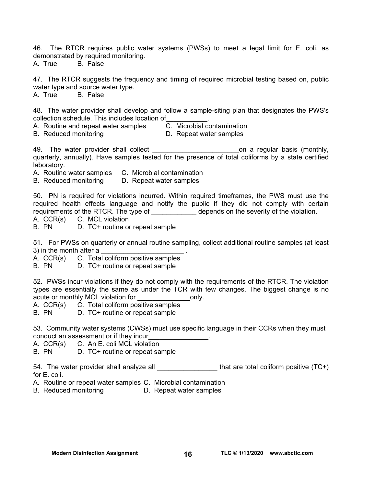46. The RTCR requires public water systems (PWSs) to meet a legal limit for E. coli, as demonstrated by required monitoring.

A. True B. False

47. The RTCR suggests the frequency and timing of required microbial testing based on, public water type and source water type.

A. True B. False

48. The water provider shall develop and follow a sample-siting plan that designates the PWS's collection schedule. This includes location of\_\_\_\_\_\_\_\_\_\_\_.

A. Routine and repeat water samples  $\overline{C}$ . Microbial contamination

B. Reduced monitoring D. Repeat water samples

49. The water provider shall collect \_\_\_\_\_\_\_\_\_\_\_\_\_\_\_\_\_\_\_\_\_\_\_on a regular basis (monthly, quarterly, annually). Have samples tested for the presence of total coliforms by a state certified laboratory.

A. Routine water samples C. Microbial contamination

B. Reduced monitoring D. Repeat water samples

50. PN is required for violations incurred. Within required timeframes, the PWS must use the required health effects language and notify the public if they did not comply with certain requirements of the RTCR. The type of depends on the severity of the violation.

A. CCR(s) C. MCL violation

B. PN D. TC+ routine or repeat sample

51. For PWSs on quarterly or annual routine sampling, collect additional routine samples (at least  $3)$  in the month after a

A. CCR(s) C. Total coliform positive samples

B. PN D. TC+ routine or repeat sample

52. PWSs incur violations if they do not comply with the requirements of the RTCR. The violation types are essentially the same as under the TCR with few changes. The biggest change is no acute or monthly MCL violation for \_\_\_\_\_\_\_\_\_\_\_\_\_\_\_\_\_\_only.

A. CCR(s) C. Total coliform positive samples

B. PN D. TC+ routine or repeat sample

53. Community water systems (CWSs) must use specific language in their CCRs when they must conduct an assessment or if they incur\_\_\_\_\_\_\_\_\_\_\_\_\_\_\_\_.

- A. CCR(s) C. An E. coli MCL violation
- B. PN D. TC+ routine or repeat sample

54. The water provider shall analyze all **the set of that are total coliform positive** (TC+) for E. coli.

- A. Routine or repeat water samples C. Microbial contamination
- B. Reduced monitoring D. Repeat water samples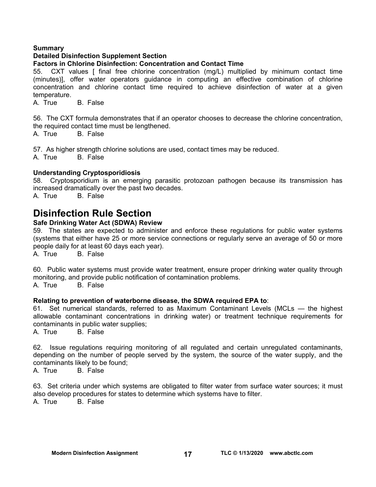## **Summary**

## **Detailed Disinfection Supplement Section**

#### **Factors in Chlorine Disinfection: Concentration and Contact Time**

55. CXT values [ final free chlorine concentration (mg/L) multiplied by minimum contact time (minutes)], offer water operators guidance in computing an effective combination of chlorine concentration and chlorine contact time required to achieve disinfection of water at a given temperature.

A. True B. False

56. The CXT formula demonstrates that if an operator chooses to decrease the chlorine concentration, the required contact time must be lengthened.

A. True B. False

57. As higher strength chlorine solutions are used, contact times may be reduced.

A. True B. False

#### **Understanding Cryptosporidiosis**

58. Cryptosporidium is an emerging parasitic protozoan pathogen because its transmission has increased dramatically over the past two decades.

A. True B. False

# **Disinfection Rule Section**

## **Safe Drinking Water Act (SDWA) Review**

59. The states are expected to administer and enforce these regulations for public water systems (systems that either have 25 or more service connections or regularly serve an average of 50 or more people daily for at least 60 days each year).

A. True B. False

60. Public water systems must provide water treatment, ensure proper drinking water quality through monitoring, and provide public notification of contamination problems.

A. True B. False

#### **Relating to prevention of waterborne disease, the SDWA required EPA to**:

61. Set numerical standards, referred to as Maximum Contaminant Levels (MCLs — the highest allowable contaminant concentrations in drinking water) or treatment technique requirements for contaminants in public water supplies;

A. True B. False

62. Issue regulations requiring monitoring of all regulated and certain unregulated contaminants, depending on the number of people served by the system, the source of the water supply, and the contaminants likely to be found;

A. True B. False

63. Set criteria under which systems are obligated to filter water from surface water sources; it must also develop procedures for states to determine which systems have to filter.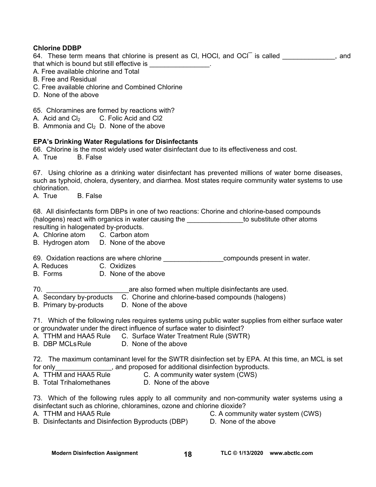## **Chlorine DDBP**

64. These term means that chlorine is present as CI, HOCI, and OCI $^-$  is called  $\qquad \qquad$ , and that which is bound but still effective is  $\qquad \qquad$ .

A. Free available chlorine and Total

- B. Free and Residual
- C. Free available chlorine and Combined Chlorine
- D. None of the above

65. Chloramines are formed by reactions with?

- A. Acid and Cl<sub>2</sub> C. Folic Acid and Cl2
- B. Ammonia and  $Cl<sub>2</sub>$  D. None of the above

## **EPA's Drinking Water Regulations for Disinfectants**

66. Chlorine is the most widely used water disinfectant due to its effectiveness and cost.

A. True B. False

67. Using chlorine as a drinking water disinfectant has prevented millions of water borne diseases, such as typhoid, cholera, dysentery, and diarrhea. Most states require community water systems to use chlorination.

A. True B. False

68. All disinfectants form DBPs in one of two reactions: Chorine and chlorine-based compounds (halogens) react with organics in water causing the **with the latter atoms** resulting in halogenated by-products.

- A. Chlorine atom C. Carbon atom
- B. Hydrogen atom D. None of the above
- 69. Oxidation reactions are where chlorine \_\_\_\_\_\_\_\_\_\_\_\_\_\_\_\_\_\_\_compounds present in water.
- A. Reduces C. Oxidizes
- B. Forms D. None of the above

70. \_\_\_\_\_\_\_\_\_\_\_\_\_\_\_\_\_\_\_\_\_\_are also formed when multiple disinfectants are used.

- A. Secondary by-products C. Chorine and chlorine-based compounds (halogens)
- B. Primary by-products D. None of the above

71. Which of the following rules requires systems using public water supplies from either surface water or groundwater under the direct influence of surface water to disinfect?

- A. TTHM and HAA5 Rule C. Surface Water Treatment Rule (SWTR)
- B. DBP MCLs Rule D. None of the above

72. The maximum contaminant level for the SWTR disinfection set by EPA. At this time, an MCL is set for only\_\_\_\_\_\_\_\_\_\_\_\_\_\_\_, and proposed for additional disinfection byproducts.

- A. TTHM and HAA5 Rule **C.** A community water system (CWS)
- B. Total Trihalomethanes D. None of the above

73. Which of the following rules apply to all community and non-community water systems using a disinfectant such as chlorine, chloramines, ozone and chlorine dioxide?

- 
- B. Disinfectants and Disinfection Byproducts (DBP) D. None of the above
- A. TTHM and HAA5 Rule C. A community water system (CWS)
	-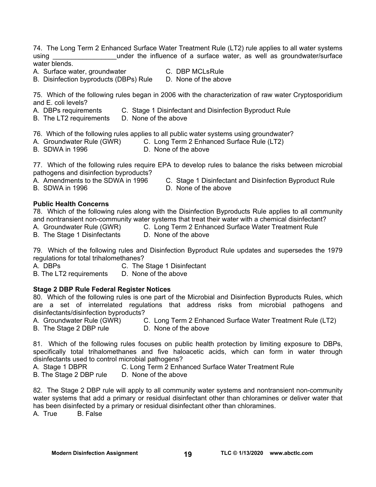74. The Long Term 2 Enhanced Surface Water Treatment Rule (LT2) rule applies to all water systems using the under the influence of a surface water, as well as groundwater/surface water blends.

A. Surface water, groundwater **C. DBP MCLs Rule** 

B. Disinfection byproducts (DBPs) Rule D. None of the above

75. Which of the following rules began in 2006 with the characterization of raw water Cryptosporidium and E. coli levels?

- A. DBPs requirements C. Stage 1 Disinfectant and Disinfection Byproduct Rule
- B. The LT2 requirements D. None of the above

76. Which of the following rules applies to all public water systems using groundwater?

- A. Groundwater Rule (GWR) C. Long Term 2 Enhanced Surface Rule (LT2)
- B. SDWA in 1996 D. None of the above

77. Which of the following rules require EPA to develop rules to balance the risks between microbial pathogens and disinfection byproducts?

- A. Amendments to the SDWA in 1996 C. Stage 1 Disinfectant and Disinfection Byproduct Rule
	-
- 
- B. SDWA in 1996 **D. None of the above**

## **Public Health Concerns**

78. Which of the following rules along with the Disinfection Byproducts Rule applies to all community and nontransient non-community water systems that treat their water with a chemical disinfectant?

- A. Groundwater Rule (GWR) C. Long Term 2 Enhanced Surface Water Treatment Rule
- B. The Stage 1 Disinfectants D. None of the above
- 

79. Which of the following rules and Disinfection Byproduct Rule updates and supersedes the 1979 regulations for total trihalomethanes?

A. DBPs C. The Stage 1 Disinfectant

B. The LT2 requirements D. None of the above

## **Stage 2 DBP Rule Federal Register Notices**

80. Which of the following rules is one part of the Microbial and Disinfection Byproducts Rules, which are a set of interrelated regulations that address risks from microbial pathogens and disinfectants/disinfection byproducts?

A. Groundwater Rule (GWR) C. Long Term 2 Enhanced Surface Water Treatment Rule (LT2)

B. The Stage 2 DBP rule D. None of the above

81. Which of the following rules focuses on public health protection by limiting exposure to DBPs, specifically total trihalomethanes and five haloacetic acids, which can form in water through disinfectants used to control microbial pathogens?

A. Stage 1 DBPR C. Long Term 2 Enhanced Surface Water Treatment Rule

B. The Stage 2 DBP rule D. None of the above

82. The Stage 2 DBP rule will apply to all community water systems and nontransient non-community water systems that add a primary or residual disinfectant other than chloramines or deliver water that has been disinfected by a primary or residual disinfectant other than chloramines.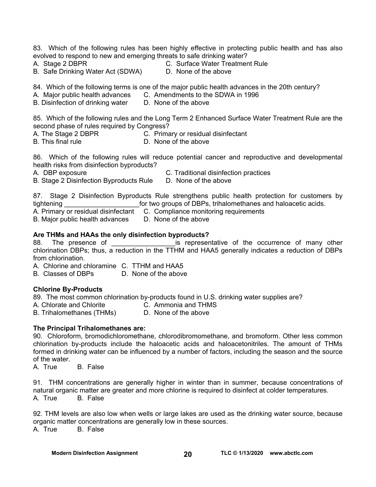83. Which of the following rules has been highly effective in protecting public health and has also evolved to respond to new and emerging threats to safe drinking water?

- A. Stage 2 DBPR C. Surface Water Treatment Rule
- B. Safe Drinking Water Act (SDWA) D. None of the above
- 

84. Which of the following terms is one of the major public health advances in the 20th century?

- A. Major public health advances C. Amendments to the SDWA in 1996
- B. Disinfection of drinking water D. None of the above

85. Which of the following rules and the Long Term 2 Enhanced Surface Water Treatment Rule are the second phase of rules required by Congress?

- 
- A. The Stage 2 DBPR C. Primary or residual disinfectant
- B. This final rule **D.** None of the above

86. Which of the following rules will reduce potential cancer and reproductive and developmental health risks from disinfection byproducts?

- A. DBP exposure C. Traditional disinfection practices
- B. Stage 2 Disinfection Byproducts Rule D. None of the above

87. Stage 2 Disinfection Byproducts Rule strengthens public health protection for customers by tightening **the contract of the state of the groups of DBPs**, trihalomethanes and haloacetic acids.

A. Primary or residual disinfectant C. Compliance monitoring requirements

B. Major public health advances D. None of the above

# **Are THMs and HAAs the only disinfection byproducts?**

The presence of The presentative of the occurrence of many other chlorination DBPs; thus, a reduction in the TTHM and HAA5 generally indicates a reduction of DBPs from chlorination.

A. Chlorine and chloramine C. TTHM and HAA5

B. Classes of DBPs D. None of the above

## **Chlorine By-Products**

89. The most common chlorination by-products found in U.S. drinking water supplies are?

- A. Chlorate and Chlorite C. Ammonia and THMS
- B. Trihalomethanes (THMs) D. None of the above

## **The Principal Trihalomethanes are:**

90. Chloroform, bromodichloromethane, chlorodibromomethane, and bromoform. Other less common chlorination by-products include the haloacetic acids and haloacetonitriles. The amount of THMs formed in drinking water can be influenced by a number of factors, including the season and the source of the water.

A. True B. False

91. THM concentrations are generally higher in winter than in summer, because concentrations of natural organic matter are greater and more chlorine is required to disinfect at colder temperatures. A. True B. False

92. THM levels are also low when wells or large lakes are used as the drinking water source, because organic matter concentrations are generally low in these sources.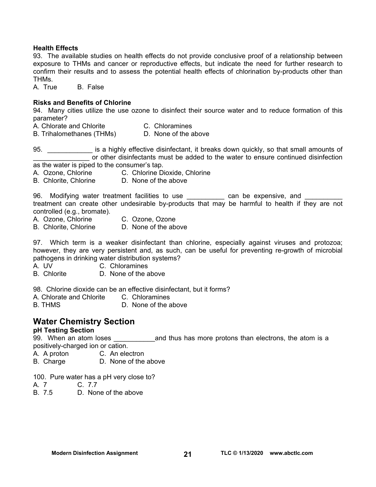## **Health Effects**

93. The available studies on health effects do not provide conclusive proof of a relationship between exposure to THMs and cancer or reproductive effects, but indicate the need for further research to confirm their results and to assess the potential health effects of chlorination by-products other than THMs.

A. True B. False

#### **Risks and Benefits of Chlorine**

94. Many cities utilize the use ozone to disinfect their source water and to reduce formation of this parameter?

A. Chlorate and Chlorite **C.** Chloramines

B. Trihalomethanes (THMs) D. None of the above

95. \_\_\_\_\_\_\_\_\_\_\_\_ is a highly effective disinfectant, it breaks down quickly, so that small amounts of or other disinfectants must be added to the water to ensure continued disinfection as the water is piped to the consumer's tap.

- A. Ozone, Chlorine C. Chlorine Dioxide, Chlorine
	-
- B. Chlorite, Chlorine D. None of the above

96. Modifying water treatment facilities to use **Example 2018** can be expensive, and treatment can create other undesirable by-products that may be harmful to health if they are not controlled (e.g., bromate).

- 
- A. Ozone, Chlorine C. Ozone, Ozone
- B. Chlorite, Chlorine D. None of the above

97. Which term is a weaker disinfectant than chlorine, especially against viruses and protozoa; however, they are very persistent and, as such, can be useful for preventing re-growth of microbial pathogens in drinking water distribution systems?

A. UV C. Chloramines

B. Chlorite D. None of the above

98. Chlorine dioxide can be an effective disinfectant, but it forms?

- A. Chlorate and Chlorite C. Chloramines<br>B. THMS D. None of the a
- D. None of the above

## **Water Chemistry Section**

#### **pH Testing Section**

99. When an atom loses **the same of the same of thus has more protons than electrons**, the atom is a positively-charged ion or cation.

- A. A proton C. An electron
- B. Charge D. None of the above
- 100. Pure water has a pH very close to?
- A. 7 C. 77
- B. 7.5 D. None of the above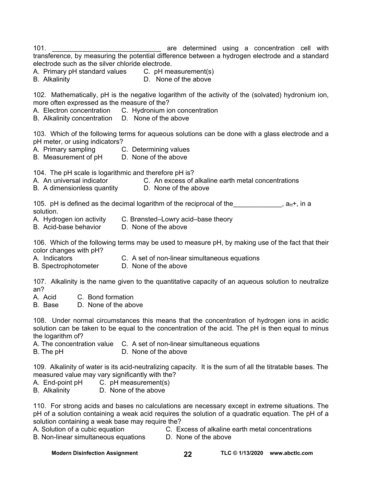101. \_\_\_\_\_\_\_\_\_\_\_\_\_\_\_\_\_\_\_\_\_\_\_\_\_\_\_\_\_\_\_\_\_ are determined using a concentration cell with transference, by measuring the potential difference between a hydrogen electrode and a standard electrode such as the silver chloride electrode.

- A. Primary pH standard values C. pH measurement(s)
- B. Alkalinity D. None of the above

102. Mathematically, pH is the negative logarithm of the activity of the (solvated) hydronium ion, more often expressed as the measure of the?

- A. Electron concentration C. Hydronium ion concentration
- B. Alkalinity concentration D. None of the above

103. Which of the following terms for aqueous solutions can be done with a glass electrode and a pH meter, or using indicators?

- A. Primary sampling C. Determining values
- B. Measurement of pH D. None of the above

104. The pH scale is logarithmic and therefore pH is?

- A. An universal indicator C. An excess of alkaline earth metal concentrations
- B. A dimensionless quantityD. None of the above

105. pH is defined as the decimal logarithm of the reciprocal of the  $\Box$  , a<sub>H</sub>+, in a solution.

- A. Hydrogen ion activity C. Brønsted–Lowry acid–base theory
- B. Acid-base behavior D. None of the above

106. Which of the following terms may be used to measure pH, by making use of the fact that their color changes with pH?

- A. Indicators C. A set of non-linear simultaneous equations
- B. SpectrophotometerD. None of the above

107. Alkalinity is the name given to the quantitative capacity of an aqueous solution to neutralize an?

- A. Acid C. Bond formation
- B. Base D. None of the above

108. Under normal circumstances this means that the concentration of hydrogen ions in acidic solution can be taken to be equal to the concentration of the acid. The pH is then equal to minus the logarithm of?

A. The concentration value C. A set of non-linear simultaneous equations

B. The pH **D. None of the above** 

109. Alkalinity of water is its acid-neutralizing capacity. It is the sum of all the titratable bases. The measured value may vary significantly with the?

- A. End-point pH C. pH measurement(s)
- B. Alkalinity D. None of the above

110. For strong acids and bases no calculations are necessary except in extreme situations. The pH of a solution containing a weak acid requires the solution of a quadratic equation. The pH of a solution containing a weak base may require the?

A. Solution of a cubic equation C. Excess of alkaline earth metal concentrations

- B. Non-linear simultaneous equations D. None of the above
	-

**Modern Disinfection Assignment** 22 TLC © 1/13/2020 www.abctlc.com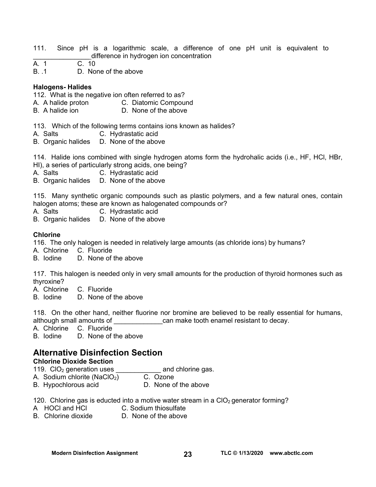- 111. Since pH is a logarithmic scale, a difference of one pH unit is equivalent to difference in hydrogen ion concentration
- A. 1 C. 10
- B. .1 D. None of the above

## **Halogens- Halides**

112. What is the negative ion often referred to as?

- A. A halide proton C. Diatomic Compound
- B. A halide ion D. None of the above

113. Which of the following terms contains ions known as halides?

- A. Salts C. Hydrastatic acid
- B. Organic halides D. None of the above

114. Halide ions combined with single hydrogen atoms form the hydrohalic acids (i.e., HF, HCl, HBr, HI), a series of particularly strong acids, one being?<br>A. Salts C. Hydrastatic acid

C. Hydrastatic acid

B. Organic halides D. None of the above

115. Many synthetic organic compounds such as plastic polymers, and a few natural ones, contain halogen atoms; these are known as halogenated compounds or?

A. Salts C. Hydrastatic acid

B. Organic halides D. None of the above

## **Chlorine**

116. The only halogen is needed in relatively large amounts (as chloride ions) by humans?

- A. Chlorine C. Fluoride
- B. Iodine D. None of the above

117. This halogen is needed only in very small amounts for the production of thyroid hormones such as thyroxine?

- A. Chlorine C. Fluoride
- B. Iodine D. None of the above

118. On the other hand, neither fluorine nor bromine are believed to be really essential for humans, although small amounts of  $\Box$  can make tooth enamel resistant to decay.

- A. Chlorine C. Fluoride
- B. Iodine D. None of the above

# **Alternative Disinfection Section**

#### **Chlorine Dioxide Section**

119.  $ClO<sub>2</sub>$  generation uses  $\qquad \qquad$  and chlorine gas.

- A. Sodium chlorite (NaClO<sub>2</sub>) C. Ozone
- B. Hypochlorous acid D. None of the above

120. Chlorine gas is educted into a motive water stream in a  $ClO<sub>2</sub>$  generator forming?

- A HOCl and HCl C. Sodium thiosulfate
- B. Chlorine dioxide D. None of the above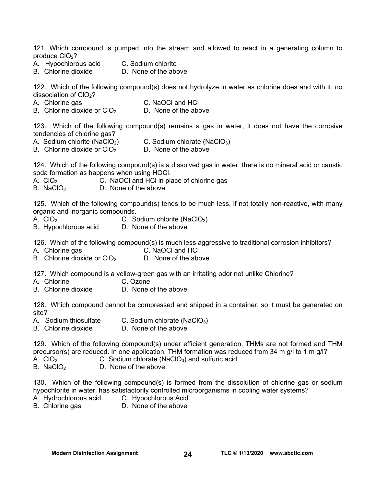121. Which compound is pumped into the stream and allowed to react in a generating column to produce  $CIO<sub>2</sub>$ ?

- A. Hypochlorous acid C. Sodium chlorite
- B. Chlorine dioxide D. None of the above

122. Which of the following compound(s) does not hydrolyze in water as chlorine does and with it, no dissociation of ClO<sub>2</sub>?

- A. Chlorine gas C. NaOCl and HCl
- B. Chlorine dioxide or  $ClO<sub>2</sub>$  D. None of the above

123. Which of the following compound(s) remains a gas in water, it does not have the corrosive tendencies of chlorine gas?

- A. Sodium chlorite  $(NaClO<sub>2</sub>)$  C. Sodium chlorate  $(NaClO<sub>3</sub>)$
- B. Chlorine dioxide or  $ClO<sub>2</sub>$  D. None of the above

124. Which of the following compound(s) is a dissolved gas in water; there is no mineral acid or caustic soda formation as happens when using HOCl.

- A.  $ClO<sub>2</sub>$  C. NaOCl and HCl in place of chlorine gas B. NaClO<sub>2</sub> D. None of the above
- D. None of the above

125. Which of the following compound(s) tends to be much less, if not totally non-reactive, with many organic and inorganic compounds.

- A.  $CIO<sub>2</sub>$  C. Sodium chlorite (NaClO<sub>2</sub>)
- B. Hypochlorous acid D. None of the above

126. Which of the following compound(s) is much less aggressive to traditional corrosion inhibitors?

- A. Chlorine gas C. NaOCl and HCl
- B. Chlorine dioxide or  $ClO<sub>2</sub>$  D. None of the above

127. Which compound is a yellow-green gas with an irritating odor not unlike Chlorine?

- A. Chlorine C. Ozone
- B. Chlorine dioxide D. None of the above

128. Which compound cannot be compressed and shipped in a container, so it must be generated on site?

- A. Sodium thiosulfate  $C.$  Sodium chlorate (NaClO<sub>3</sub>)
- B. Chlorine dioxide D. None of the above

129. Which of the following compound(s) under efficient generation, THMs are not formed and THM precursor(s) are reduced. In one application, THM formation was reduced from 34 m g/l to 1 m g/l?

- A.  $ClO<sub>2</sub>$  C. Sodium chlorate (NaClO<sub>3</sub>) and sulfuric acid
- $B.$  NaClO<sub>2</sub> D. None of the above

130. Which of the following compound(s) is formed from the dissolution of chlorine gas or sodium hypochlorite in water, has satisfactorily controlled microorganisms in cooling water systems?

- A. Hydrochlorous acid C. Hypochlorous Acid
- B. Chlorine gas **D. None of the above**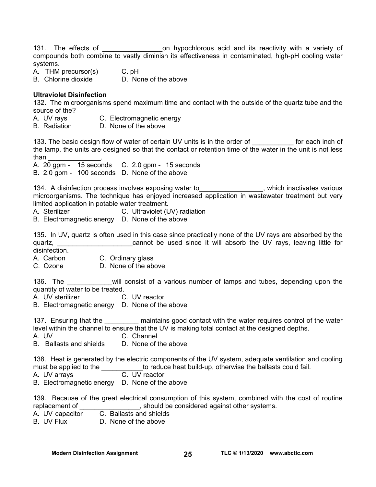131. The effects of \_\_\_\_\_\_\_\_\_\_\_\_\_\_\_\_\_\_\_on hypochlorous acid and its reactivity with a variety of compounds both combine to vastly diminish its effectiveness in contaminated, high-pH cooling water systems.

A. THM precursor(s) C. pH<br>B. Chlorine dioxide D. None of the above

B. Chlorine dioxide

## **Ultraviolet Disinfection**

132. The microorganisms spend maximum time and contact with the outside of the quartz tube and the source of the?

- A. UV rays C. Electromagnetic energy
- B. Radiation D. None of the above

133. The basic design flow of water of certain UV units is in the order of The State of the basic design flow of the lamp, the units are designed so that the contact or retention time of the water in the unit is not less  $than$ 

A. 20 gpm - 15 seconds C. 2.0 gpm - 15 seconds

B. 2.0 gpm - 100 seconds D. None of the above

134. A disinfection process involves exposing water to\_\_\_\_\_\_\_\_\_\_\_\_\_\_\_\_, which inactivates various microorganisms. The technique has enjoyed increased application in wastewater treatment but very limited application in potable water treatment.

A. Sterilizer C. Ultraviolet (UV) radiation

B. Electromagnetic energy D. None of the above

135. In UV, quartz is often used in this case since practically none of the UV rays are absorbed by the quartz, **Example 20** cannot be used since it will absorb the UV rays, leaving little for disinfection.

A. Carbon C. Ordinary glass

C. Ozone D. None of the above

136. The **the will consist of a various number of lamps and tubes, depending upon the** quantity of water to be treated.

A. UV sterilizer C. UV reactor

B. Electromagnetic energy D. None of the above

137. Ensuring that the \_\_\_\_\_\_\_\_\_\_ maintains good contact with the water requires control of the water level within the channel to ensure that the UV is making total contact at the designed depths.

A. UV C. Channel

B. Ballasts and shields D. None of the above

138. Heat is generated by the electric components of the UV system, adequate ventilation and cooling must be applied to the  $\frac{1}{C}$  to reduce heat build-up, otherwise the ballasts could fail.<br>A. UV arrays

A. UV arrays

B. Electromagnetic energy D. None of the above

139. Because of the great electrical consumption of this system, combined with the cost of routine replacement of  $\Box$ , should be considered against other systems.

- A. UV capacitor C. Ballasts and shields
- B. UV Flux D. None of the above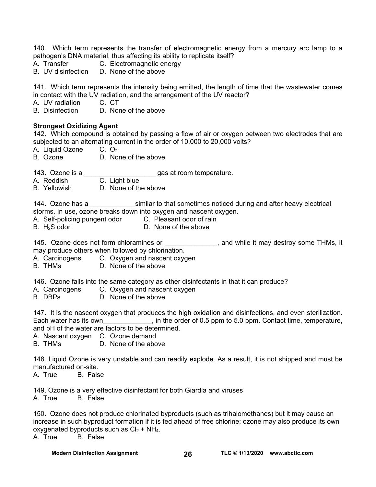140. Which term represents the transfer of electromagnetic energy from a mercury arc lamp to a pathogen's DNA material, thus affecting its ability to replicate itself?

- A. Transfer **C. Electromagnetic energy**
- B. UV disinfection D. None of the above

141. Which term represents the intensity being emitted, the length of time that the wastewater comes in contact with the UV radiation, and the arrangement of the UV reactor?

A. UV radiation C. CT

B. Disinfection D. None of the above

## **Strongest Oxidizing Agent**

142. Which compound is obtained by passing a flow of air or oxygen between two electrodes that are subjected to an alternating current in the order of 10,000 to 20,000 volts?

A. Liquid Ozone C. O<sub>2</sub>

B. Ozone D. None of the above

143. Ozone is a \_\_\_\_\_\_\_\_\_\_\_\_\_\_\_\_\_\_\_\_\_\_gas at room temperature.

A. Reddish C. Light blue

B. Yellowish D. None of the above

144. Ozone has a similar to that sometimes noticed during and after heavy electrical storms. In use, ozone breaks down into oxygen and nascent oxygen.

A. Self-policing pungent odor C. Pleasant odor of rain

B. H<sub>2</sub>S odor **D.** None of the above

145. Ozone does not form chloramines or **the summannity**, and while it may destroy some THMs, it may produce others when followed by chlorination.

- A. Carcinogens C. Oxygen and nascent oxygen
- B. THMs D. None of the above

146. Ozone falls into the same category as other disinfectants in that it can produce?

- A. Carcinogens C. Oxygen and nascent oxygen
- B. DBPs D. None of the above

147. It is the nascent oxygen that produces the high oxidation and disinfections, and even sterilization. Each water has its own  $\qquad \qquad$ , in the order of 0.5 ppm to 5.0 ppm. Contact time, temperature, and pH of the water are factors to be determined.

A. Nascent oxygen C. Ozone demand

B. THMs D. None of the above

148. Liquid Ozone is very unstable and can readily explode. As a result, it is not shipped and must be manufactured on-site.

A. True B. False

149. Ozone is a very effective disinfectant for both Giardia and viruses

A. True B. False

150. Ozone does not produce chlorinated byproducts (such as trihalomethanes) but it may cause an increase in such byproduct formation if it is fed ahead of free chlorine; ozone may also produce its own oxygenated byproducts such as  $Cl<sub>2</sub> + NH<sub>4</sub>$ .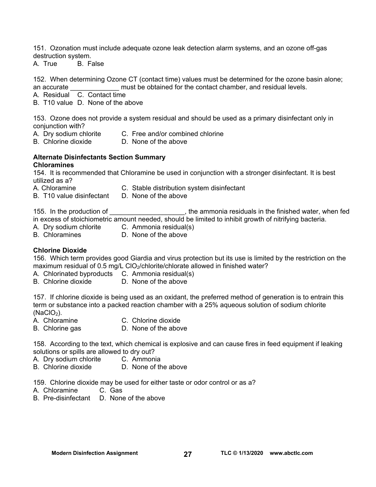151. Ozonation must include adequate ozone leak detection alarm systems, and an ozone off-gas destruction system.

A. True B. False

152. When determining Ozone CT (contact time) values must be determined for the ozone basin alone; an accurate **Exercise 20** must be obtained for the contact chamber, and residual levels.

A. Residual C. Contact time

B. T10 value D. None of the above

153. Ozone does not provide a system residual and should be used as a primary disinfectant only in conjunction with?

- 
- A. Dry sodium chlorite C. Free and/or combined chlorine
- B. Chlorine dioxide D. None of the above

## **Alternate Disinfectants Section Summary Chloramines**

154. It is recommended that Chloramine be used in conjunction with a stronger disinfectant. It is best utilized as a?

- A. Chloramine C. Stable distribution system disinfectant
- B. T10 value disinfectant D. None of the above

155. In the production of **Example 20** is the ammonia residuals in the finished water, when fed in excess of stoichiometric amount needed, should be limited to inhibit growth of nitrifying bacteria.

- 
- A. Dry sodium chlorite C. Ammonia residual(s)
- B. Chloramines D. None of the above

## **Chlorine Dioxide**

156. Which term provides good Giardia and virus protection but its use is limited by the restriction on the maximum residual of 0.5 mg/L CIO<sub>2</sub>/chlorite/chlorate allowed in finished water?

- A. Chlorinated byproducts C. Ammonia residual(s)
- B. Chlorine dioxide D. None of the above

157. If chlorine dioxide is being used as an oxidant, the preferred method of generation is to entrain this term or substance into a packed reaction chamber with a 25% aqueous solution of sodium chlorite  $(NaClO<sub>2</sub>)$ .

- A. Chloramine C. Chlorine dioxide
- B. Chlorine gas **D.** None of the above

158. According to the text, which chemical is explosive and can cause fires in feed equipment if leaking solutions or spills are allowed to dry out?

- A. Dry sodium chlorite C. Ammonia<br>B. Chlorine dioxide C. None of the
- D. None of the above

159. Chlorine dioxide may be used for either taste or odor control or as a?

- A. Chloramine C. Gas
- B. Pre-disinfectant D. None of the above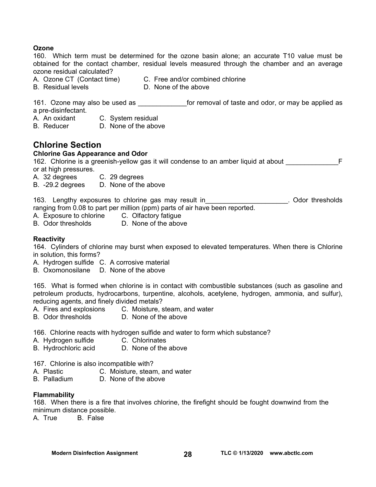## **Ozone**

160. Which term must be determined for the ozone basin alone; an accurate T10 value must be obtained for the contact chamber, residual levels measured through the chamber and an average ozone residual calculated?

- A. Ozone CT (Contact time) C. Free and/or combined chlorine
- B. Residual levels **D. None of the above**

161. Ozone may also be used as \_\_\_\_\_\_\_\_\_\_\_\_\_\_\_\_for removal of taste and odor, or may be applied as

- a pre-disinfectant.
- A. An oxidant C. System residual
- B. Reducer D. None of the above

# **Chlorine Section**

## **Chlorine Gas Appearance and Odor**

162. Chlorine is a greenish-yellow gas it will condense to an amber liquid at about F or at high pressures.

A. 32 degrees C. 29 degrees

B. -29.2 degrees D. None of the above

163. Lengthy exposures to chlorine gas may result in\_\_\_\_\_\_\_\_\_\_\_\_\_\_\_\_\_\_\_\_\_\_. Odor thresholds ranging from 0.08 to part per million (ppm) parts of air have been reported.

- A. Exposure to chlorine C. Olfactory fatigue
- B. Odor thresholds D. None of the above

## **Reactivity**

164. Cylinders of chlorine may burst when exposed to elevated temperatures. When there is Chlorine in solution, this forms?

- A. Hydrogen sulfide C. A corrosive material
- B. Oxomonosilane D. None of the above

165. What is formed when chlorine is in contact with combustible substances (such as gasoline and petroleum products, hydrocarbons, turpentine, alcohols, acetylene, hydrogen, ammonia, and sulfur), reducing agents, and finely divided metals?<br>A. Fires and explosions C. Moisture, s

- C. Moisture, steam, and water
- B. Odor thresholds D. None of the above

166. Chlorine reacts with hydrogen sulfide and water to form which substance?

- A. Hydrogen sulfide C. Chlorinates
- B. Hydrochloric acid **D.** None of the above

167. Chlorine is also incompatible with?

- A. Plastic C. Moisture, steam, and water
- B. Palladium D. None of the above

#### **Flammability**

168. When there is a fire that involves chlorine, the firefight should be fought downwind from the minimum distance possible.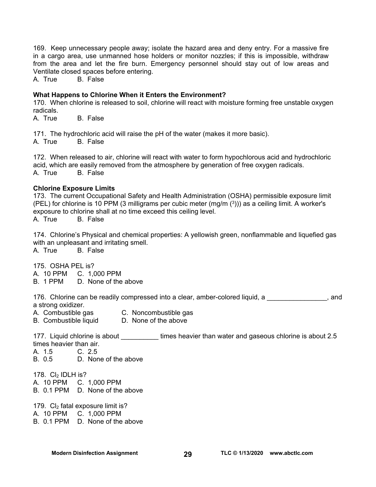169. Keep unnecessary people away; isolate the hazard area and deny entry. For a massive fire in a cargo area, use unmanned hose holders or monitor nozzles; if this is impossible, withdraw from the area and let the fire burn. Emergency personnel should stay out of low areas and Ventilate closed spaces before entering.

A. True B. False

## **What Happens to Chlorine When it Enters the Environment?**

170. When chlorine is released to soil, chlorine will react with moisture forming free unstable oxygen radicals.

A. True B. False

171. The hydrochloric acid will raise the pH of the water (makes it more basic).

A. True B. False

172. When released to air, chlorine will react with water to form hypochlorous acid and hydrochloric acid, which are easily removed from the atmosphere by generation of free oxygen radicals. A. True B. False

## **Chlorine Exposure Limits**

173. The current Occupational Safety and Health Administration (OSHA) permissible exposure limit (PEL) for chlorine is 10 PPM (3 milligrams per cubic meter  $(mg/m<sup>(3)</sup>)$ ) as a ceiling limit. A worker's exposure to chlorine shall at no time exceed this ceiling level.

A. True B. False

174. Chlorine's Physical and chemical properties: A yellowish green, nonflammable and liquefied gas with an unpleasant and irritating smell.

A. True B. False

175. OSHA PEL is?

- A. 10 PPM C. 1,000 PPM
- B. 1 PPM D. None of the above

176. Chlorine can be readily compressed into a clear, amber-colored liquid, a <br>
and a strong oxidizer.

- A. Combustible gas C. Noncombustible gas
- B. Combustible liquid D. None of the above

177. Liquid chlorine is about \_\_\_\_\_\_\_\_\_\_\_\_ times heavier than water and gaseous chlorine is about 2.5 times heavier than air.

- A. 1.5 C. 2.5
- B. 0.5 D. None of the above

178.  $Cl<sub>2</sub>$  IDLH is?

- A. 10 PPM C. 1,000 PPM
- B. 0.1 PPM D. None of the above

179.  $Cl<sub>2</sub>$  fatal exposure limit is?

A. 10 PPM C. 1,000 PPM

B. 0.1 PPM D. None of the above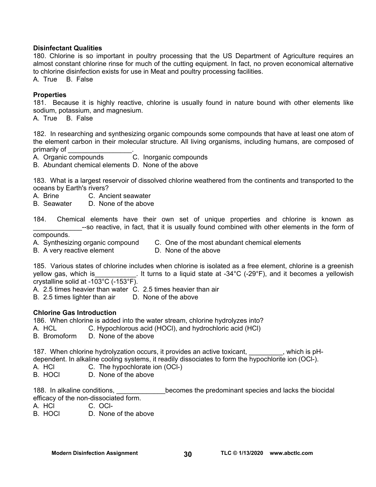## **Disinfectant Qualities**

180. Chlorine is so important in poultry processing that the US Department of Agriculture requires an almost constant chlorine rinse for much of the cutting equipment. In fact, no proven economical alternative to chlorine disinfection exists for use in Meat and poultry processing facilities.

A. True B. False

## **Properties**

181. Because it is highly reactive, chlorine is usually found in nature bound with other elements like sodium, potassium, and magnesium.

A. True B. False

182. In researching and synthesizing organic compounds some compounds that have at least one atom of the element carbon in their molecular structure. All living organisms, including humans, are composed of primarily of

A. Organic compounds C. Inorganic compounds

B. Abundant chemical elements D. None of the above

183. What is a largest reservoir of dissolved chlorine weathered from the continents and transported to the oceans by Earth's rivers?

A. Brine C. Ancient seawater

B. Seawater D. None of the above

184. Chemical elements have their own set of unique properties and chlorine is known as \_\_\_\_\_\_\_\_\_\_\_\_\_--so reactive, in fact, that it is usually found combined with other elements in the form of compounds.

- A. Synthesizing organic compound C. One of the most abundant chemical elements
- B. A very reactive element D. None of the above

185. Various states of chlorine includes when chlorine is isolated as a free element, chlorine is a greenish yellow gas, which is  $\qquad \qquad$  It turns to a liquid state at -34°C (-29°F), and it becomes a yellowish crystalline solid at -103°C (-153°F).

A. 2.5 times heavier than water C. 2.5 times heavier than air

B. 2.5 times lighter than air D. None of the above

## **Chlorine Gas Introduction**

186. When chlorine is added into the water stream, chlorine hydrolyzes into?

- A. HCL C. Hypochlorous acid (HOCl), and hydrochloric acid (HCl)
- B. Bromoform D. None of the above

187. When chlorine hydrolyzation occurs, it provides an active toxicant, entity which is pHdependent. In alkaline cooling systems, it readily dissociates to form the hypochlorite ion (OCl-).

- A. HCl C. The hypochlorate ion (OCl-)
- B. HOCl D. None of the above

188. In alkaline conditions, \_\_\_\_\_\_\_\_\_\_\_\_\_becomes the predominant species and lacks the biocidal efficacy of the non-dissociated form.<br>A. HCl C. OCI-

- C. OCL-
- B. HOCl D. None of the above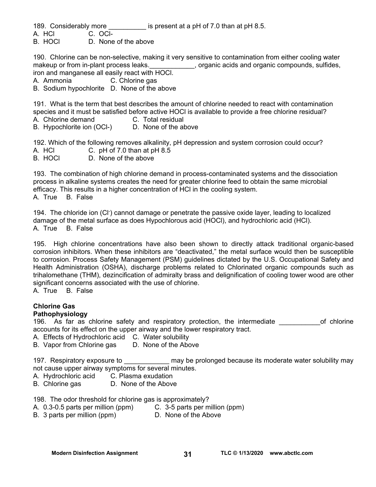189. Considerably more **construent** is present at a pH of 7.0 than at pH 8.5.

A. HCl C. OCl-

B. HOCl D. None of the above

190. Chlorine can be non-selective, making it very sensitive to contamination from either cooling water makeup or from in-plant process leaks. \_\_\_\_\_\_\_\_\_\_\_\_, organic acids and organic compounds, sulfides, iron and manganese all easily react with HOCl.

A. Ammonia C. Chlorine gas

B. Sodium hypochlorite D. None of the above

191. What is the term that best describes the amount of chlorine needed to react with contamination species and it must be satisfied before active HOCl is available to provide a free chlorine residual?

- A. Chlorine demand C. Total residual
- B. Hypochlorite ion (OCI-) D. None of the above

192. Which of the following removes alkalinity, pH depression and system corrosion could occur?

- A. HCl C. pH of 7.0 than at pH 8.5
- B. HOCl D. None of the above

193. The combination of high chlorine demand in process-contaminated systems and the dissociation process in alkaline systems creates the need for greater chlorine feed to obtain the same microbial efficacy. This results in a higher concentration of HCl in the cooling system. A. True B. False

194. The chloride ion (Cl- ) cannot damage or penetrate the passive oxide layer, leading to localized damage of the metal surface as does Hypochlorous acid (HOCl), and hydrochloric acid (HCl). A. True B. False

195. High chlorine concentrations have also been shown to directly attack traditional organic-based corrosion inhibitors. When these inhibitors are "deactivated," the metal surface would then be susceptible to corrosion. Process Safety Management (PSM) guidelines dictated by the U.S. Occupational Safety and Health Administration (OSHA), discharge problems related to Chlorinated organic compounds such as trihalomethane (THM), dezincification of admiralty brass and delignification of cooling tower wood are other significant concerns associated with the use of chlorine.

A. True B. False

## **Chlorine Gas**

## **Pathophysiology**

196. As far as chlorine safety and respiratory protection, the intermediate entity of chlorine accounts for its effect on the upper airway and the lower respiratory tract.

- A. Effects of Hydrochloric acid C. Water solubility
- B. Vapor from Chlorine gas D. None of the Above

197. Respiratory exposure to **the example in the system may be prolonged because its moderate water solubility may** not cause upper airway symptoms for several minutes.

- A. Hydrochloric acid C. Plasma exudation
- B. Chlorine gas **D. None of the Above**

198. The odor threshold for chlorine gas is approximately?

A. 0.3-0.5 parts per million (ppm) C. 3-5 parts per million (ppm)

B. 3 parts per million (ppm) D. None of the Above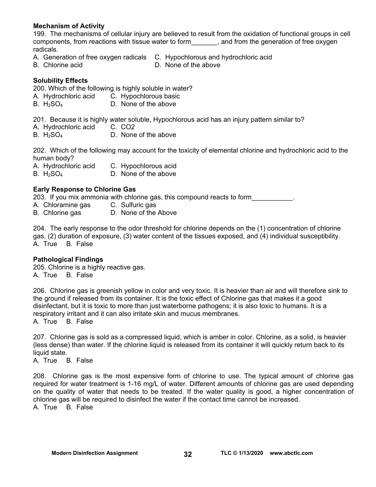## **Mechanism of Activity**

199. The mechanisms of cellular injury are believed to result from the oxidation of functional groups in cell components, from reactions with tissue water to form\_\_\_\_\_\_\_, and from the generation of free oxygen radicals.

- A. Generation of free oxygen radicals C. Hypochlorous and hydrochloric acid
- 
- B. Chlorine acid **D.** None of the above

## **Solubility Effects**

200. Which of the following is highly soluble in water?

- A. Hydrochloric acid C. Hypochlorous basic
- B.  $H_2SO_4$  D. None of the above
- 201. Because it is highly water soluble, Hypochlorous acid has an injury pattern similar to?
- A. Hydrochloric acid C. CO2
- B.  $H_2SO_4$  D. None of the above

202. Which of the following may account for the toxicity of elemental chlorine and hydrochloric acid to the human body?

- A. Hydrochloric acid C. Hypochlorous acid
- B.  $H_2SO_4$  D. None of the above

## **Early Response to Chlorine Gas**

203. If you mix ammonia with chlorine gas, this compound reacts to form\_\_\_\_\_\_\_\_\_\_\_.

- A. Chloramine gas C. Sulfuric gas
- B. Chlorine gas D. None of the Above

204. The early response to the odor threshold for chlorine depends on the (1) concentration of chlorine gas, (2) duration of exposure, (3) water content of the tissues exposed, and (4) individual susceptibility. A. True B. False

#### **Pathological Findings**

205. Chlorine is a highly reactive gas. A. True B. False

206. Chlorine gas is greenish yellow in color and very toxic. It is heavier than air and will therefore sink to the ground if released from its container. It is the toxic effect of Chlorine gas that makes it a good disinfectant, but it is toxic to more than just waterborne pathogens; it is also toxic to humans. It is a respiratory irritant and it can also irritate skin and mucus membranes.

A. True B. False

207. Chlorine gas is sold as a compressed liquid, which is amber in color. Chlorine, as a solid, is heavier (less dense) than water. If the chlorine liquid is released from its container it will quickly return back to its liquid state.

A. True B. False

208. Chlorine gas is the most expensive form of chlorine to use. The typical amount of chlorine gas required for water treatment is 1-16 mg/L of water. Different amounts of chlorine gas are used depending on the quality of water that needs to be treated. If the water quality is good, a higher concentration of chlorine gas will be required to disinfect the water if the contact time cannot be increased.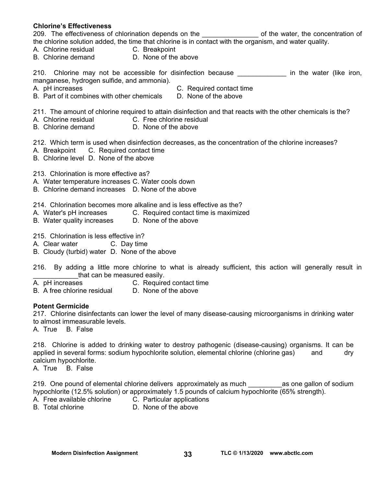#### **Chlorine's Effectiveness**

209. The effectiveness of chlorination depends on the electronic of the water, the concentration of the chlorine solution added, the time that chlorine is in contact with the organism, and water quality.

- A. Chlorine residual C. Breakpoint
- B. Chlorine demand D. None of the above

210. Chlorine may not be accessible for disinfection because \_\_\_\_\_\_\_\_\_\_\_\_\_\_ in the water (like iron, manganese, hydrogen sulfide, and ammonia).

- 
- A. pH increases C. Required contact time<br>B. Part of it combines with other chemicals D. None of the above
- B. Part of it combines with other chemicals

211. The amount of chlorine required to attain disinfection and that reacts with the other chemicals is the?

- A. Chlorine residual C. Free chlorine residual
- B. Chlorine demand D. None of the above

212. Which term is used when disinfection decreases, as the concentration of the chlorine increases?

- A. Breakpoint C. Required contact time
- B. Chlorine level D. None of the above

213. Chlorination is more effective as?

- A. Water temperature increases C. Water cools down
- B. Chlorine demand increases D. None of the above

214. Chlorination becomes more alkaline and is less effective as the?

- A. Water's pH increases C. Required contact time is maximized
- B. Water quality increases D. None of the above

215. Chlorination is less effective in?

- A. Clear water C. Day time
- B. Cloudy (turbid) water D. None of the above

216. By adding a little more chlorine to what is already sufficient, this action will generally result in  $\frac{1}{\mathsf{A}}$  of increases that can be measured easily.

- C. Required contact time
- B. A free chlorine residual D. None of the above

## **Potent Germicide**

217. Chlorine disinfectants can lower the level of many disease-causing microorganisms in drinking water to almost immeasurable levels.

A. True B. False

218. Chlorine is added to drinking water to destroy pathogenic (disease-causing) organisms. It can be applied in several forms: sodium hypochlorite solution, elemental chlorine (chlorine gas) and dry calcium hypochlorite.

A. True B. False

219. One pound of elemental chlorine delivers approximately as much example as one gallon of sodium hypochlorite (12.5% solution) or approximately 1.5 pounds of calcium hypochlorite (65% strength).

- A. Free available chlorine C. Particular applications
	-
- 
- B. Total chlorine D. None of the above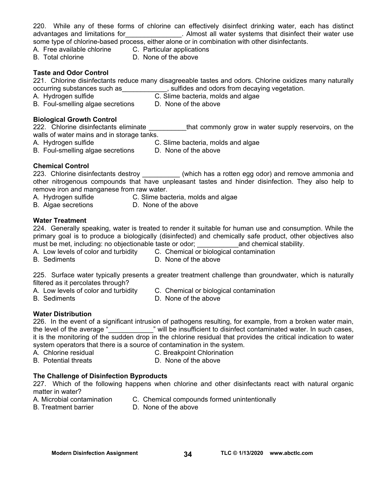220. While any of these forms of chlorine can effectively disinfect drinking water, each has distinct advantages and limitations for **Exercise 20** Almost all water systems that disinfect their water use some type of chlorine-based process, either alone or in combination with other disinfectants.

- A. Free available chlorine C. Particular applications
	-
- 
- B. Total chlorine D. None of the above

## **Taste and Odor Control**

221. Chlorine disinfectants reduce many disagreeable tastes and odors. Chlorine oxidizes many naturally occurring substances such as  $\qquad \qquad$ , sulfides and odors from decaying vegetation.

- 
- A. Hydrogen sulfide C. Slime bacteria, molds and algae
- B. Foul-smelling algae secretions D. None of the above

## **Biological Growth Control**

222. Chlorine disinfectants eliminate **that commonly grow in water supply reservoirs**, on the walls of water mains and in storage tanks.

- A. Hydrogen sulfide C. Slime bacteria, molds and algae
- B. Foul-smelling algae secretions D. None of the above

## **Chemical Control**

223. Chlorine disinfectants destroy \_\_\_\_\_\_\_\_\_\_\_ (which has a rotten egg odor) and remove ammonia and other nitrogenous compounds that have unpleasant tastes and hinder disinfection. They also help to remove iron and manganese from raw water.

- A. Hydrogen sulfide C. Slime bacteria, molds and algae
- B. Algae secretions D. None of the above

## **Water Treatment**

224. Generally speaking, water is treated to render it suitable for human use and consumption. While the primary goal is to produce a biologically (disinfected) and chemically safe product, other objectives also must be met, including: no objectionable taste or odor; entity and chemical stability.

- A. Low levels of color and turbidity C. Chemical or biological contamination
- B. Sediments **D.** None of the above

225. Surface water typically presents a greater treatment challenge than groundwater, which is naturally filtered as it percolates through?

- A. Low levels of color and turbidity C. Chemical or biological contamination
- 
- B. Sediments **D. None of the above**
- **Water Distribution**
- 226. In the event of a significant intrusion of pathogens resulting, for example, from a broken water main, the level of the average "<br>
"will be insufficient to disinfect contaminated water. In such cases, it is the monitoring of the sudden drop in the chlorine residual that provides the critical indication to water system operators that there is a source of contamination in the system.
- A. Chlorine residual C. Breakpoint Chlorination
- B. Potential threats **D. None of the above**

## **The Challenge of Disinfection Byproducts**

227. Which of the following happens when chlorine and other disinfectants react with natural organic matter in water?

- 
- A. Microbial contamination C. Chemical compounds formed unintentionally
- 
- B. Treatment barrier D. None of the above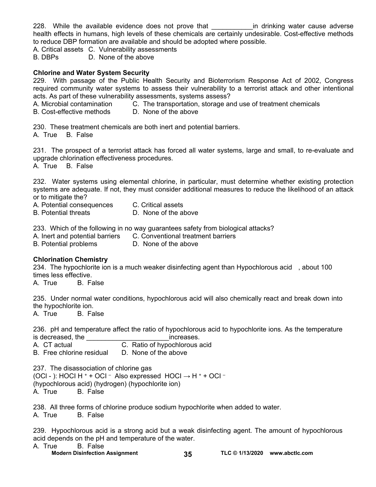228. While the available evidence does not prove that **the in-marking water cause adverse** health effects in humans, high levels of these chemicals are certainly undesirable. Cost-effective methods to reduce DBP formation are available and should be adopted where possible.

A. Critical assets C. Vulnerability assessments

B. DBPs D. None of the above

## **Chlorine and Water System Security**

229. With passage of the Public Health Security and Bioterrorism Response Act of 2002, Congress required community water systems to assess their vulnerability to a terrorist attack and other intentional acts. As part of these vulnerability assessments, systems assess?

A. Microbial contamination C. The transportation, storage and use of treatment chemicals<br>B. Cost-effective methods D. None of the above

B. Cost-effective methods

230. These treatment chemicals are both inert and potential barriers.

A. True B. False

231. The prospect of a terrorist attack has forced all water systems, large and small, to re-evaluate and upgrade chlorination effectiveness procedures.

A. True B. False

232. Water systems using elemental chlorine, in particular, must determine whether existing protection systems are adequate. If not, they must consider additional measures to reduce the likelihood of an attack or to mitigate the?

A. Potential consequences C. Critical assets

- 
- 
- B. Potential threats D. None of the above

233. Which of the following in no way guarantees safety from biological attacks?

- A. Inert and potential barriers C. Conventional treatment barriers
- B. Potential problems D. None of the above

## **Chlorination Chemistry**

234. The hypochlorite ion is a much weaker disinfecting agent than Hypochlorous acid , about 100 times less effective.

A. True B. False

235. Under normal water conditions, hypochlorous acid will also chemically react and break down into the hypochlorite ion.

A. True B. False

236. pH and temperature affect the ratio of hypochlorous acid to hypochlorite ions. As the temperature is decreased, the \_\_\_\_\_\_\_\_\_\_\_\_\_\_\_\_\_\_\_\_\_\_increases.

C. Ratio of hypochlorous acid

B. Free chlorine residual D. None of the above

237. The disassociation of chlorine gas

(OCI - ): HOCI H  $^+$  + OCI  $^-$  Also expressed HOCI  $\rightarrow$  H  $^+$  + OCI  $^-$ 

(hypochlorous acid) (hydrogen) (hypochlorite ion)

A. True B. False

238. All three forms of chlorine produce sodium hypochlorite when added to water.

A. True B. False

239. Hypochlorous acid is a strong acid but a weak disinfecting agent. The amount of hypochlorous acid depends on the pH and temperature of the water.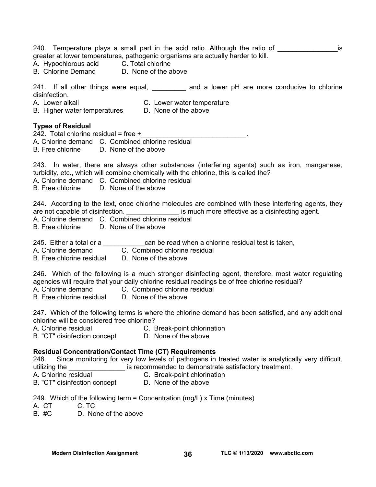| 240. Temperature plays a small part in the acid ratio. Although the ratio of ___________<br>is<br>greater at lower temperatures, pathogenic organisms are actually harder to kill.<br>A. Hypochlorous acid C. Total chlorine<br>B. Chlorine Demand D. None of the above                                                                                                            |
|------------------------------------------------------------------------------------------------------------------------------------------------------------------------------------------------------------------------------------------------------------------------------------------------------------------------------------------------------------------------------------|
| 241. If all other things were equal, _________ and a lower pH are more conducive to chlorine<br>disinfection.<br>A. Lower alkali C. Lower water temperature<br>B. Higher water temperatures D. None of the above                                                                                                                                                                   |
| <b>Types of Residual</b><br>242. Total chlorine residual = free $+$<br>A. Chlorine demand C. Combined chlorine residual<br>B. Free chlorine D. None of the above                                                                                                                                                                                                                   |
| 243. In water, there are always other substances (interfering agents) such as iron, manganese,<br>turbidity, etc., which will combine chemically with the chlorine, this is called the?<br>A. Chlorine demand C. Combined chlorine residual<br>B. Free chlorine D. None of the above                                                                                               |
| 244. According to the text, once chlorine molecules are combined with these interfering agents, they<br>are not capable of disinfection. ________________ is much more effective as a disinfecting agent.<br>A. Chlorine demand C. Combined chlorine residual<br>B. Free chlorine D. None of the above                                                                             |
| 245. Either a total or a $\frac{\ }{C}$ can be read when a chlorine residual test is taken,<br>A. Chlorine demand C. Combined chlorine residual<br>B. Free chlorine residual D. None of the above                                                                                                                                                                                  |
| 246. Which of the following is a much stronger disinfecting agent, therefore, most water regulating<br>agencies will require that your daily chlorine residual readings be of free chlorine residual?<br>A. Chlorine demand C. Combined chlorine residual<br>B. Free chlorine residual D. None of the above                                                                        |
| 247. Which of the following terms is where the chlorine demand has been satisfied, and any additional<br>chlorine will be considered free chlorine?<br>A. Chlorine residual<br>C. Break-point chlorination<br>D. None of the above<br>B. "CT" disinfection concept                                                                                                                 |
| <b>Residual Concentration/Contact Time (CT) Requirements</b><br>Since monitoring for very low levels of pathogens in treated water is analytically very difficult,<br>248.<br>utilizing the <u>seconomential</u> is recommended to demonstrate satisfactory treatment.<br>A. Chlorine residual<br>C. Break-point chlorination<br>B. "CT" disinfection concept D. None of the above |
| 249. Which of the following term = Concentration (mg/L) x Time (minutes)                                                                                                                                                                                                                                                                                                           |

- 
- A. CT C. TC<br>B. #C D. No D. None of the above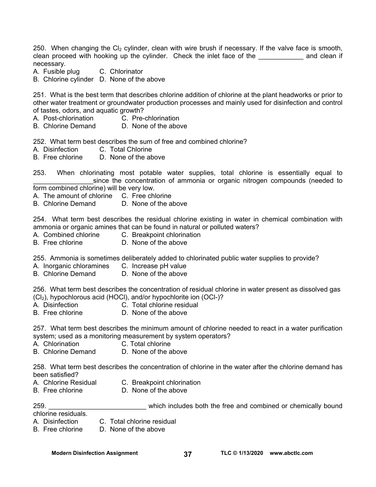250. When changing the  $Cl<sub>2</sub>$  cylinder, clean with wire brush if necessary. If the valve face is smooth, clean proceed with hooking up the cylinder. Check the inlet face of the \_\_\_\_\_\_\_\_\_\_\_\_ and clean if necessary.

- A. Fusible plug C. Chlorinator
- B. Chlorine cylinder D. None of the above

251. What is the best term that describes chlorine addition of chlorine at the plant headworks or prior to other water treatment or groundwater production processes and mainly used for disinfection and control of tastes, odors, and aquatic growth?

- A. Post-chlorination C. Pre-chlorination
- B. Chlorine Demand D. None of the above

252. What term best describes the sum of free and combined chlorine?

- A. Disinfection C. Total Chlorine
- B. Free chlorine D. None of the above

253. When chlorinating most potable water supplies, total chlorine is essentially equal to since the concentration of ammonia or organic nitrogen compounds (needed to form combined chlorine) will be very low.

- A. The amount of chlorine C. Free chlorine
- B. Chlorine Demand D. None of the above

254. What term best describes the residual chlorine existing in water in chemical combination with ammonia or organic amines that can be found in natural or polluted waters?

- A. Combined chlorine C. Breakpoint chlorination
- B. Free chlorine D. None of the above

255. Ammonia is sometimes deliberately added to chlorinated public water supplies to provide?

- A. Inorganic chloramines C. Increase pH value
- B. Chlorine Demand D. None of the above

256. What term best describes the concentration of residual chlorine in water present as dissolved gas  $(Cl_2)$ , hypochlorous acid (HOCI), and/or hypochlorite ion  $(OCl<sub>-</sub>)$ ?<br>A. Disinfection  $C$ . Total chlorine residual

- 
- **C.** Total chlorine residual
- B. Free chlorine D. None of the above

257. What term best describes the minimum amount of chlorine needed to react in a water purification system; used as a monitoring measurement by system operators?

- 
- A. Chlorination **C. Total chlorine**<br>B. Chlorine Demand D. None of the a D. None of the above

258. What term best describes the concentration of chlorine in the water after the chlorine demand has been satisfied?

- 
- A. Chlorine Residual C. Breakpoint chlorination
- 
- B. Free chlorine D. None of the above

259. \_\_\_\_\_\_\_\_\_\_\_\_\_\_\_\_\_\_\_\_\_\_\_\_\_\_\_\_\_\_\_\_ which includes both the free and combined or chemically bound chlorine residuals.

- A. Disinfection C. Total chlorine residual
- B. Free chlorine D. None of the above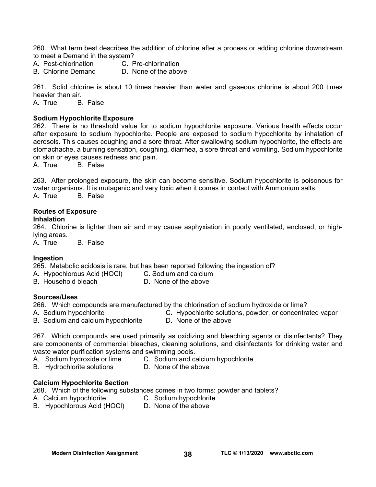260. What term best describes the addition of chlorine after a process or adding chlorine downstream to meet a Demand in the system?

- A. Post-chlorination C. Pre-chlorination
- B. Chlorine Demand D. None of the above

261. Solid chlorine is about 10 times heavier than water and gaseous chlorine is about 200 times heavier than air.

A. True B. False

## **Sodium Hypochlorite Exposure**

262. There is no threshold value for to sodium hypochlorite exposure. Various health effects occur after exposure to sodium hypochlorite. People are exposed to sodium hypochlorite by inhalation of aerosols. This causes coughing and a sore throat. After swallowing sodium hypochlorite, the effects are stomachache, a burning sensation, coughing, diarrhea, a sore throat and vomiting. Sodium hypochlorite on skin or eyes causes redness and pain.

A. True B. False

263. After prolonged exposure, the skin can become sensitive. Sodium hypochlorite is poisonous for water organisms. It is mutagenic and very toxic when it comes in contact with Ammonium salts.

A. True B. False

## **Routes of Exposure**

#### **Inhalation**

264. Chlorine is lighter than air and may cause asphyxiation in poorly ventilated, enclosed, or highlying areas.

A. True B. False

#### **Ingestion**

265. Metabolic acidosis is rare, but has been reported following the ingestion of?

- A. Hypochlorous Acid (HOCl) C. Sodium and calcium
- B. Household bleach D. None of the above

#### **Sources/Uses**

266. Which compounds are manufactured by the chlorination of sodium hydroxide or lime?

- A. Sodium hypochlorite C. Hypochlorite solutions, powder, or concentrated vapor
- B. Sodium and calcium hypochlorite D. None of the above
- 267. Which compounds are used primarily as oxidizing and bleaching agents or disinfectants? They are components of commercial bleaches, cleaning solutions, and disinfectants for drinking water and
- waste water purification systems and swimming pools.
- 
- A. Sodium hydroxide or lime C. Sodium and calcium hypochlorite
- B. Hydrochlorite solutions **D. None of the above**

#### **Calcium Hypochlorite Section**

268.Which of the following substances comes in two forms: powder and tablets?

- A. Calcium hypochlorite C. Sodium hypochlorite
	-
- B. Hypochlorous Acid (HOCI) D. None of the above
-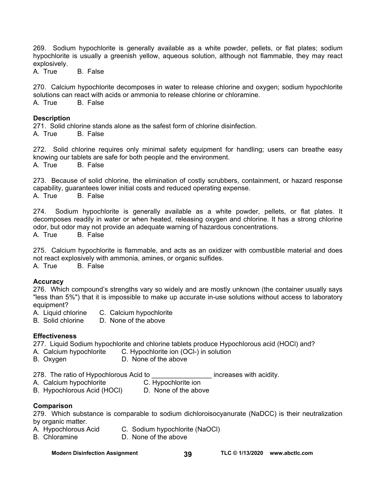269. Sodium hypochlorite is generally available as a white powder, pellets, or flat plates; sodium hypochlorite is usually a greenish yellow, aqueous solution, although not flammable, they may react explosively.<br>A. True

**B.** False

270. Calcium hypochlorite decomposes in water to release chlorine and oxygen; sodium hypochlorite solutions can react with acids or ammonia to release chlorine or chloramine. A. True B. False

## **Description**

271.Solid chlorine stands alone as the safest form of chlorine disinfection.

A. True B. False

272. Solid chlorine requires only minimal safety equipment for handling; users can breathe easy knowing our tablets are safe for both people and the environment.

A. True B. False

273. Because of solid chlorine, the elimination of costly scrubbers, containment, or hazard response capability, guarantees lower initial costs and reduced operating expense.

**B.** False

274. Sodium hypochlorite is generally available as a white powder, pellets, or flat plates. It decomposes readily in water or when heated, releasing oxygen and chlorine. It has a strong chlorine odor, but odor may not provide an adequate warning of hazardous concentrations. A. True B. False

275. Calcium hypochlorite is flammable, and acts as an oxidizer with combustible material and does not react explosively with ammonia, amines, or organic sulfides.

A. True B. False

## **Accuracy**

276. Which compound's strengths vary so widely and are mostly unknown (the container usually says "less than 5%") that it is impossible to make up accurate in-use solutions without access to laboratory equipment?

A. Liquid chlorine C. Calcium hypochlorite

B. Solid chlorine D. None of the above

## **Effectiveness**

277. Liquid Sodium hypochlorite and chlorine tablets produce Hypochlorous acid (HOCl) and?

- A. Calcium hypochlorite C. Hypochlorite ion (OCl-) in solution
- B. Oxygen D. None of the above

278. The ratio of Hypochlorous Acid to **Example 278.** The ratio of Hypochlorous Acid to

A. Calcium hypochlorite C. Hypochlorite ion

B. Hypochlorous Acid (HOCI) D. None of the above

## **Comparison**

279. Which substance is comparable to sodium dichloroisocyanurate (NaDCC) is their neutralization by organic matter.

- A. Hypochlorous Acid C. Sodium hypochlorite (NaOCl)
- B. Chloramine D. None of the above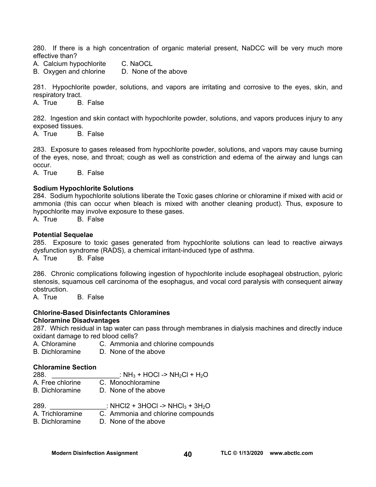280. If there is a high concentration of organic material present, NaDCC will be very much more effective than?

- A. Calcium hypochlorite C. NaOCL
- B. Oxygen and chlorine D. None of the above

281. Hypochlorite powder, solutions, and vapors are irritating and corrosive to the eyes, skin, and respiratory tract.

A. True B. False

282. Ingestion and skin contact with hypochlorite powder, solutions, and vapors produces injury to any exposed tissues.

A. True B. False

283. Exposure to gases released from hypochlorite powder, solutions, and vapors may cause burning of the eyes, nose, and throat; cough as well as constriction and edema of the airway and lungs can occur.

A. True B. False

## **Sodium Hypochlorite Solutions**

284. Sodium hypochlorite solutions liberate the Toxic gases chlorine or chloramine if mixed with acid or ammonia (this can occur when bleach is mixed with another cleaning product). Thus, exposure to hypochlorite may involve exposure to these gases.

A. True B. False

## **Potential Sequelae**

285.Exposure to toxic gases generated from hypochlorite solutions can lead to reactive airways dysfunction syndrome (RADS), a chemical irritant-induced type of asthma.

A. True B. False

286. Chronic complications following ingestion of hypochlorite include esophageal obstruction, pyloric stenosis, squamous cell carcinoma of the esophagus, and vocal cord paralysis with consequent airway obstruction.

A. True B. False

#### **Chlorine-Based Disinfectants Chloramines Chloramine Disadvantages**

287. Which residual in tap water can pass through membranes in dialysis machines and directly induce oxidant damage to red blood cells?

- A. Chloramine C. Ammonia and chlorine compounds
- B. Dichloramine D. None of the above

#### **Chloramine Section**

- 288.  $\underline{\hspace{1cm}}$  : NH<sub>3</sub> + HOCl -> NH<sub>2</sub>Cl + H<sub>2</sub>O<br>A. Free chlorine C. Monochloramine C. Monochloramine B. Dichloramine D. None of the above
- 289.  $\blacksquare$ : NHCl2 + 3HOCl -> NHCl<sub>3</sub> + 3H<sub>2</sub>O
- A. Trichloramine C. Ammonia and chlorine compounds
- B. Dichloramine D. None of the above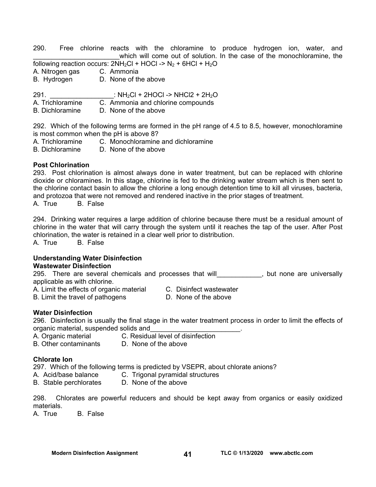290. Free chlorine reacts with the chloramine to produce hydrogen ion, water, and which will come out of solution. In the case of the monochloramine, the following reaction occurs:  $2NH_2Cl$  + HOCl -> N<sub>2</sub> + 6HCl + H<sub>2</sub>O

A. Nitrogen gas C. Ammonia

B. Hydrogen D. None of the above

 $291.$   $\text{NH}_2\text{Cl} + 2\text{H}$ OCl -> NHCl2 + 2H<sub>2</sub>O

A. Trichloramine C. Ammonia and chlorine compounds

B. Dichloramine D. None of the above

292. Which of the following terms are formed in the pH range of 4.5 to 8.5, however, monochloramine is most common when the pH is above 8?

A. Trichloramine C. Monochloramine and dichloramine

B. Dichloramine D. None of the above

## **Post Chlorination**

293. Post chlorination is almost always done in water treatment, but can be replaced with chlorine dioxide or chloramines. In this stage, chlorine is fed to the drinking water stream which is then sent to the chlorine contact basin to allow the chlorine a long enough detention time to kill all viruses, bacteria, and protozoa that were not removed and rendered inactive in the prior stages of treatment.

A. True B. False

294. Drinking water requires a large addition of chlorine because there must be a residual amount of chlorine in the water that will carry through the system until it reaches the tap of the user. After Post chlorination, the water is retained in a clear well prior to distribution.

A. True B. False

## **Understanding Water Disinfection**

## **Wastewater Disinfection**

295. There are several chemicals and processes that will \_\_\_\_\_\_\_\_\_\_\_\_, but none are universally applicable as with chlorine.

A. Limit the effects of organic material C. Disinfect wastewater

- B. Limit the travel of pathogens D. None of the above
- **Water Disinfection**

296. Disinfection is usually the final stage in the water treatment process in order to limit the effects of organic material, suspended solids and\_\_\_\_\_\_\_\_\_\_\_\_\_\_\_\_\_\_\_\_\_\_\_\_.

- 
- A. Organic material C. Residual level of disinfection
- B. Other contaminants D. None of the above
	-

## **Chlorate Ion**

297. Which of the following terms is predicted by VSEPR, about chlorate anions?

- A. Acid/base balance C. Trigonal pyramidal structures
- B. Stable perchlorates D. None of the above

298. Chlorates are powerful reducers and should be kept away from organics or easily oxidized materials.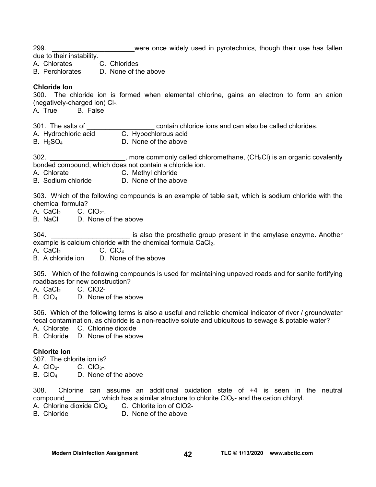299. **Example 2008** 299. **Example 2014** Were once widely used in pyrotechnics, though their use has fallen

due to their instability.

A. Chlorates C. Chlorides

B. Perchlorates D. None of the above

## **Chloride Ion**

300. The chloride ion is formed when elemental chlorine, gains an electron to form an anion (negatively-charged ion) Cl-.

A. True B. False

301. The salts of  $\frac{1}{\sqrt{3}}$  contain chloride ions and can also be called chlorides.<br>A. Hydrochloric acid  $\frac{1}{\sqrt{3}}$  C. Hypochlorous acid

- A. Hydrochloric acid
- B.  $H_2SO_4$  D. None of the above

 $302.$   $\blacksquare$ , more commonly called chloromethane, (CH<sub>3</sub>Cl) is an organic covalently bonded compound, which does not contain a chloride ion.

A. Chlorate C. Methyl chloride

B. Sodium chloride D. None of the above

303. Which of the following compounds is an example of table salt, which is sodium chloride with the chemical formula?

- A. CaCl $2$  C. ClO $2$ -.
- B. NaCl D. None of the above

304. **Example 304. Example 2014** is also the prosthetic group present in the amylase enzyme. Another example is calcium chloride with the chemical formula CaCl<sub>2</sub>.<br>A. CaCl<sub>2</sub> C. ClO<sub>4</sub>

 $C.$   $ClO<sub>4</sub>$ 

B. A chloride ion D. None of the above

305. Which of the following compounds is used for maintaining unpaved roads and for sanite fortifying roadbases for new construction?

A. CaCl<sub>2</sub> C. CIO2-

 $B.$  ClO<sub>4</sub> D. None of the above

306. Which of the following terms is also a useful and reliable chemical indicator of river / groundwater fecal contamination, as chloride is a non-reactive solute and ubiquitous to sewage & potable water?

A. Chlorate C. Chlorine dioxide

B. Chloride D. None of the above

## **Chlorite Ion**

307. The chlorite ion is?

A. CIO<sub>2</sub>- C. CIO<sub>3</sub>-,

 $B.$  CIO<sub>4</sub> D. None of the above

308. Chlorine can assume an additional oxidation state of +4 is seen in the neutral compound  $\blacksquare$ , which has a similar structure to chlorite ClO<sub>2</sub>- and the cation chloryl.

- A. Chlorine dioxide  $ClO<sub>2</sub>$  C. Chlorite ion of ClO2-
- B. Chloride D. None of the above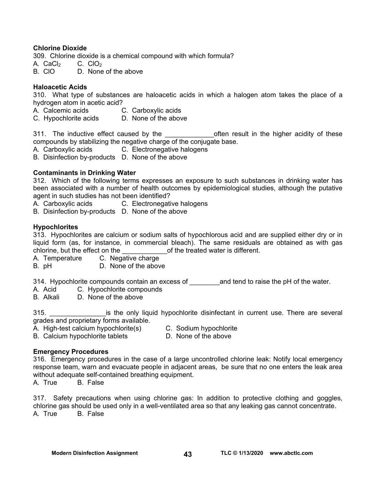## **Chlorine Dioxide**

309. Chlorine dioxide is a chemical compound with which formula?

- A. CaCl<sub>2</sub> C. ClO<sub>2</sub>
- B. ClO D. None of the above

## **Haloacetic Acids**

310. What type of substances are haloacetic acids in which a halogen atom takes the place of a hydrogen atom in acetic acid?

- A. Calcemic acids C. Carboxylic acids
- C. Hypochlorite acids D. None of the above

311. The inductive effect caused by the **the set of the result in the higher acidity of these** compounds by stabilizing the negative charge of the conjugate base.

- A. Carboxylic acids C. Electronegative halogens
- B. Disinfection by-products D. None of the above

## **Contaminants in Drinking Water**

312. Which of the following terms expresses an exposure to such substances in drinking water has been associated with a number of health outcomes by epidemiological studies, although the putative agent in such studies has not been identified?

- A. Carboxylic acids C. Electronegative halogens
- B. Disinfection by-products D. None of the above

## **Hypochlorites**

313. Hypochlorites are calcium or sodium salts of hypochlorous acid and are supplied either dry or in liquid form (as, for instance, in commercial bleach). The same residuals are obtained as with gas chlorine, but the effect on the \_\_\_\_\_\_\_\_\_\_\_\_of the treated water is different.

- A. Temperature C. Negative charge
- B. pH D. None of the above
- 314. Hypochlorite compounds contain an excess of \_\_\_\_\_\_\_\_\_\_\_ and tend to raise the pH of the water.<br>A. Acid C. Hypochlorite compounds
- C. Hypochlorite compounds
- B. Alkali D. None of the above

315. **Example 21 is the only liquid hypochlorite disinfectant in current use. There are several** grades and proprietary forms available.

- A. High-test calcium hypochlorite(s) C. Sodium hypochlorite
- B. Calcium hypochlorite tablets D. None of the above
- 

## **Emergency Procedures**

316. Emergency procedures in the case of a large uncontrolled chlorine leak: Notify local emergency response team, warn and evacuate people in adjacent areas, be sure that no one enters the leak area without adequate self-contained breathing equipment.

A. True B. False

317. Safety precautions when using chlorine gas: In addition to protective clothing and goggles, chlorine gas should be used only in a well-ventilated area so that any leaking gas cannot concentrate. A. True B. False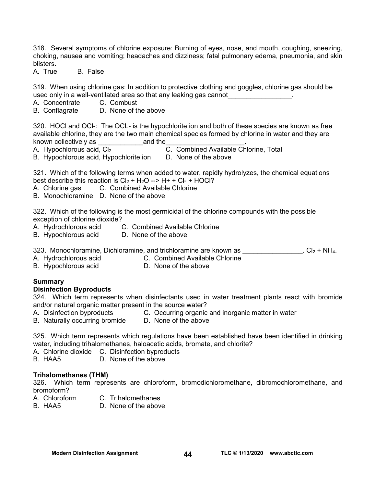318. Several symptoms of chlorine exposure: Burning of eyes, nose, and mouth, coughing, sneezing, choking, nausea and vomiting; headaches and dizziness; fatal pulmonary edema, pneumonia, and skin blisters.

A. True B. False

319. When using chlorine gas: In addition to protective clothing and goggles, chlorine gas should be used only in a well-ventilated area so that any leaking gas cannot

- A. Concentrate C. Combust
- B. Conflagrate D. None of the above

320. HOCl and OCl-: The OCL- is the hypochlorite ion and both of these species are known as free available chlorine, they are the two main chemical species formed by chlorine in water and they are known collectively as **Example 2** and the

- A. Hypochlorous acid, Cl<sub>2</sub> C. Combined Available Chlorine, Total
- B. Hypochlorous acid, Hypochlorite ion D. None of the above

321. Which of the following terms when added to water, rapidly hydrolyzes, the chemical equations best describe this reaction is  $Cl_2 + H_2O \rightarrow H + + Cl + HOCl$ ?

- A. Chlorine gas C. Combined Available Chlorine
- B. Monochloramine D. None of the above

322. Which of the following is the most germicidal of the chlorine compounds with the possible exception of chlorine dioxide?

- A. Hydrochlorous acid C. Combined Available Chlorine
- B. Hypochlorous acid D. None of the above

|  |  |  | 323. Monochloramine, Dichloramine, and trichloramine are known as | . $Cl_2 + NH_4$ . |
|--|--|--|-------------------------------------------------------------------|-------------------|
|--|--|--|-------------------------------------------------------------------|-------------------|

- 
- A. Hydrochlorous acid C. Combined Available Chlorine
- B. Hypochlorous acid **D.** None of the above
- 

#### **Summary**

#### **Disinfection Byproducts**

324. Which term represents when disinfectants used in water treatment plants react with bromide and/or natural organic matter present in the source water?

- A. Disinfection byproducts **C.** Occurring organic and inorganic matter in water
- B. Naturally occurring bromide D. None of the above

325. Which term represents which regulations have been established have been identified in drinking water, including trihalomethanes, haloacetic acids, bromate, and chlorite?

- A. Chlorine dioxide C. Disinfection byproducts
- B. HAA5 D. None of the above

## **Trihalomethanes (THM)**

326. Which term represents are chloroform, bromodichloromethane, dibromochloromethane, and bromoform?

- A. Chloroform C. Trihalomethanes
- D. None of the above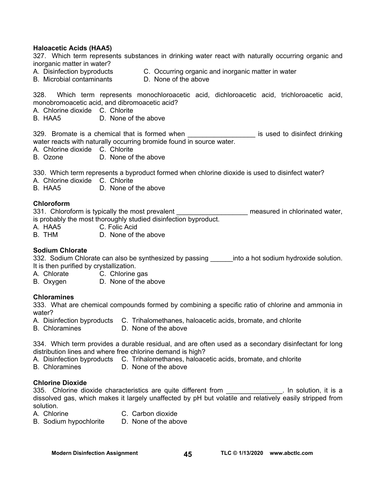## **Haloacetic Acids (HAA5)**

327. Which term represents substances in drinking water react with naturally occurring organic and inorganic matter in water?

- 
- A. Disinfection byproducts **C. Occurring organic and inorganic matter in water**
- B. Microbial contaminants D. None of the above
	-

328. Which term represents monochloroacetic acid, dichloroacetic acid, trichloroacetic acid, monobromoacetic acid, and dibromoacetic acid?

- A. Chlorine dioxide C. Chlorite
- B. HAA5 D. None of the above

329. Bromate is a chemical that is formed when \_\_\_\_\_\_\_\_\_\_\_\_\_\_\_\_\_\_\_\_\_ is used to disinfect drinking water reacts with naturally occurring bromide found in source water.

- A. Chlorine dioxide C. Chlorite
- B. Ozone D. None of the above

330. Which term represents a byproduct formed when chlorine dioxide is used to disinfect water?

- A. Chlorine dioxide C. Chlorite<br>B. HAA5 D. None of
- D. None of the above

## **Chloroform**

331. Chloroform is typically the most prevalent \_\_\_\_\_\_\_\_\_\_\_\_\_\_\_\_\_\_\_\_\_\_\_ measured in chlorinated water, is probably the most thoroughly studied disinfection byproduct.

- A. HAA5 C. Folic Acid<br>B. THM D. None of th
- D. None of the above

#### **Sodium Chlorate**

332. Sodium Chlorate can also be synthesized by passing into a hot sodium hydroxide solution. It is then purified by crystallization.

- A. Chlorate C. Chlorine gas
- B. Oxygen D. None of the above

#### **Chloramines**

333. What are chemical compounds formed by combining a specific ratio of chlorine and ammonia in water?

- A. Disinfection byproducts C. Trihalomethanes, haloacetic acids, bromate, and chlorite
- B. Chloramines D. None of the above

334. Which term provides a durable residual, and are often used as a secondary disinfectant for long distribution lines and where free chlorine demand is high?

- A. Disinfection byproducts C. Trihalomethanes, haloacetic acids, bromate, and chlorite
- B. Chloramines D. None of the above

#### **Chlorine Dioxide**

335. Chlorine dioxide characteristics are quite different from The Muslem of the solution, it is a dissolved gas, which makes it largely unaffected by pH but volatile and relatively easily stripped from solution.

- 
- A. Chlorine C. Carbon dioxide
- B. Sodium hypochlorite D. None of the above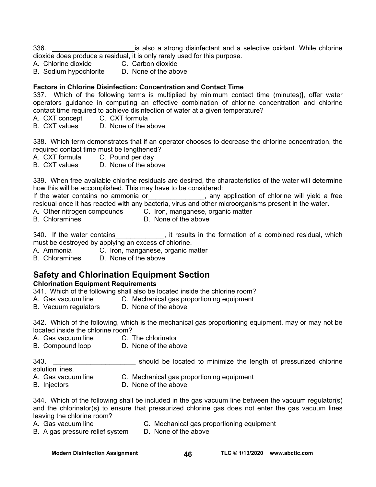336. \_\_\_\_\_\_\_\_\_\_\_\_\_\_\_\_\_\_\_\_\_\_is also a strong disinfectant and a selective oxidant. While chlorine dioxide does produce a residual, it is only rarely used for this purpose.

- 
- A. Chlorine dioxide C. Carbon dioxide<br>
B. Sodium hypochlorite D. None of the above B. Sodium hypochlorite

## **Factors in Chlorine Disinfection: Concentration and Contact Time**

337. Which of the following terms is multiplied by minimum contact time (minutes)], offer water operators guidance in computing an effective combination of chlorine concentration and chlorine contact time required to achieve disinfection of water at a given temperature?

- A. CXT concept C. CXT formula
- B. CXT values D. None of the above

338. Which term demonstrates that if an operator chooses to decrease the chlorine concentration, the required contact time must be lengthened?

- A. CXT formula C. Pound per day
- B. CXT values D. None of the above

339. When free available chlorine residuals are desired, the characteristics of the water will determine how this will be accomplished. This may have to be considered:

If the water contains no ammonia or<br>
<u>
</u>, any application of chlorine will yield a free residual once it has reacted with any bacteria, virus and other microorganisms present in the water.

- A. Other nitrogen compounds C. Iron, manganese, organic matter
- B. Chloramines **D.** None of the above

340. If the water contains\_\_\_\_\_\_\_\_\_\_\_\_, it results in the formation of a combined residual, which must be destroyed by applying an excess of chlorine.

- A. Ammonia C. Iron, manganese, organic matter
- B. Chloramines D. None of the above

# **Safety and Chlorination Equipment Section**

## **Chlorination Equipment Requirements**

341. Which of the following shall also be located inside the chlorine room?

- A. Gas vacuum line C. Mechanical gas proportioning equipment
- B. Vacuum regulators D. None of the above

342. Which of the following, which is the mechanical gas proportioning equipment, may or may not be located inside the chlorine room?

- A. Gas vacuum line C. The chlorinator
	-
- B. Compound loop D. None of the above
- 

343. **Example 343. Example 343.** Should be located to minimize the length of pressurized chlorine

solution lines.

- 
- A. Gas vacuum line C. Mechanical gas proportioning equipment
- B. Injectors D. None of the above
- 

344. Which of the following shall be included in the gas vacuum line between the vacuum regulator(s) and the chlorinator(s) to ensure that pressurized chlorine gas does not enter the gas vacuum lines leaving the chlorine room?

- A. Gas vacuum line C. Mechanical gas proportioning equipment
- B. A gas pressure relief system D. None of the above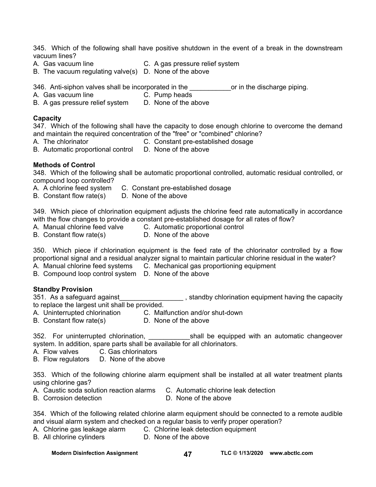345. Which of the following shall have positive shutdown in the event of a break in the downstream vacuum lines?

- A. Gas vacuum line C. A gas pressure relief system
- B. The vacuum regulating valve(s) D. None of the above

346. Anti-siphon valves shall be incorporated in the the same or in the discharge piping.

- A. Gas vacuum line C. Pump heads
	-
- B. A gas pressure relief system D. None of the above

## **Capacity**

347. Which of the following shall have the capacity to dose enough chlorine to overcome the demand and maintain the required concentration of the "free" or "combined" chlorine?

- A. The chlorinator C. Constant pre-established dosage
- B. Automatic proportional control D. None of the above

## **Methods of Control**

348. Which of the following shall be automatic proportional controlled, automatic residual controlled, or compound loop controlled?

- A. A chlorine feed system C. Constant pre-established dosage
- B. Constant flow rate(s) D. None of the above

349. Which piece of chlorination equipment adjusts the chlorine feed rate automatically in accordance with the flow changes to provide a constant pre-established dosage for all rates of flow?

- A. Manual chlorine feed valve  $\begin{array}{ccc} \text{C.} \end{array}$  Automatic proportional control B. Constant flow rate(s)  $\begin{array}{ccc} \text{D.} \end{array}$  None of the above B. Constant flow rate $(s)$ 
	-

350. Which piece if chlorination equipment is the feed rate of the chlorinator controlled by a flow proportional signal and a residual analyzer signal to maintain particular chlorine residual in the water?

- A. Manual chlorine feed systems C. Mechanical gas proportioning equipment
- B. Compound loop control system D. None of the above

## **Standby Provision**

351. As a safeguard against **Exercise 10**, standby chlorination equipment having the capacity to replace the largest unit shall be provided.

A. Uninterrupted chlorination C. Malfunction and/or shut-down

- B. Constant flow rate(s) D. None of the above
- 

352. For uninterrupted chlorination, \_\_\_\_\_\_\_\_\_\_\_\_\_\_shall be equipped with an automatic changeover system. In addition, spare parts shall be available for all chlorinators.

- A. Flow valves C. Gas chlorinators
- B. Flow regulators D. None of the above

353. Which of the following chlorine alarm equipment shall be installed at all water treatment plants using chlorine gas?

- A. Caustic soda solution reaction alarms C. Automatic chlorine leak detection
- B. Corrosion detection **D. None of the above**

354. Which of the following related chlorine alarm equipment should be connected to a remote audible and visual alarm system and checked on a regular basis to verify proper operation?

- A. Chlorine gas leakage alarm C. Chlorine leak detection equipment
- B. All chlorine cylinders **D.** None of the above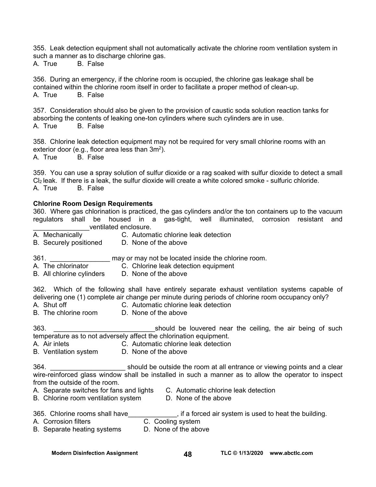355. Leak detection equipment shall not automatically activate the chlorine room ventilation system in such a manner as to discharge chlorine gas.

A. True B. False

356. During an emergency, if the chlorine room is occupied, the chlorine gas leakage shall be contained within the chlorine room itself in order to facilitate a proper method of clean-up. A. True B. False

357. Consideration should also be given to the provision of caustic soda solution reaction tanks for absorbing the contents of leaking one-ton cylinders where such cylinders are in use.

A. True B. False

358. Chlorine leak detection equipment may not be required for very small chlorine rooms with an exterior door (e.g., floor area less than  $3m^2$ ).

A. True B. False

359. You can use a spray solution of sulfur dioxide or a rag soaked with sulfur dioxide to detect a small  $C_2$  leak. If there is a leak, the sulfur dioxide will create a white colored smoke - sulfuric chloride. A. True B. False

## **Chlorine Room Design Requirements**

360. Where gas chlorination is practiced, the gas cylinders and/or the ton containers up to the vacuum regulators shall be housed in a gas-tight, well illuminated, corrosion resistant and \_\_\_\_\_\_\_\_\_\_\_\_\_\_\_ventilated enclosure.

- 
- A. Mechanically C. Automatic chlorine leak detection
- B. Securely positioned D. None of the above

361. **Example 26 and 12 may or may not be located inside the chlorine room.** 

- A. The chlorinator **C.** Chlorine leak detection equipment
- B. All chlorine cylinders D. None of the above

362. Which of the following shall have entirely separate exhaust ventilation systems capable of delivering one (1) complete air change per minute during periods of chlorine room occupancy only?<br>A. Shut off can be c. Automatic chlorine leak detection

- A. Shut off C. Automatic chlorine leak detection<br>B. The chlorine room D. None of the above
- 
- D. None of the above
- 363. \_\_\_\_\_\_\_\_\_\_\_\_\_\_\_\_\_\_\_\_\_\_\_\_\_\_\_should be louvered near the ceiling, the air being of such temperature as to not adversely affect the chlorination equipment.
- A. Air inlets C. Automatic chlorine leak detection
- B. Ventilation system D. None of the above

364. \_\_\_\_\_\_\_\_\_\_\_\_\_\_\_\_\_\_\_\_ should be outside the room at all entrance or viewing points and a clear wire-reinforced glass window shall be installed in such a manner as to allow the operator to inspect from the outside of the room.

- A. Separate switches for fans and lights C. Automatic chlorine leak detection
- B. Chlorine room ventilation system D. None of the above
- 365. Chlorine rooms shall have  $\qquad \qquad$ , if a forced air system is used to heat the building.
- A. Corrosion filters C. Cooling system
- B. Separate heating systems D. None of the above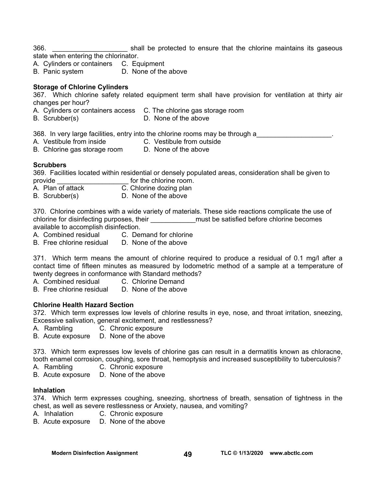366. \_\_\_\_\_\_\_\_\_\_\_\_\_\_\_\_\_\_\_\_ shall be protected to ensure that the chlorine maintains its gaseous state when entering the chlorinator.

- A. Cylinders or containers C. Equipment
- B. Panic system D. None of the above

## **Storage of Chlorine Cylinders**

367. Which chlorine safety related equipment term shall have provision for ventilation at thirty air changes per hour?

- A. Cylinders or containers access C. The chlorine gas storage room
- B. Scrubber(s) D. None of the above
	-

368. In very large facilities, entry into the chlorine rooms may be through a

- 
- A. Vestibule from inside C. Vestibule from outside<br>B. Chlorine gas storage room D. None of the above B. Chlorine gas storage room

## **Scrubbers**

369. Facilities located within residential or densely populated areas, consideration shall be given to provide \_\_\_\_\_\_\_\_\_\_\_\_\_\_\_\_\_\_\_ for the chlorine room.

- A. Plan of attack C. Chlorine dozing plan
- B. Scrubber(s) D. None of the above

370. Chlorine combines with a wide variety of materials. These side reactions complicate the use of chlorine for disinfecting purposes, their \_\_\_\_\_\_\_\_\_\_\_\_must be satisfied before chlorine becomes available to accomplish disinfection.

- A. Combined residual C. Demand for chlorine
- B. Free chlorine residual  $\Box$  None of the above

371. Which term means the amount of chlorine required to produce a residual of 0.1 mg/l after a contact time of fifteen minutes as measured by Iodometric method of a sample at a temperature of twenty degrees in conformance with Standard methods?

- A. Combined residual C. Chlorine Demand
- B. Free chlorine residual D. None of the above

## **Chlorine Health Hazard Section**

372. Which term expresses low levels of chlorine results in eye, nose, and throat irritation, sneezing, Excessive salivation, general excitement, and restlessness?

A. Rambling C. Chronic exposure

B. Acute exposure D. None of the above

373. Which term expresses low levels of chlorine gas can result in a dermatitis known as chloracne, tooth enamel corrosion, coughing, sore throat, hemoptysis and increased susceptibility to tuberculosis?

- A. Rambling C. Chronic exposure
- B. Acute exposure D. None of the above

## **Inhalation**

374. Which term expresses coughing, sneezing, shortness of breath, sensation of tightness in the chest, as well as severe restlessness or Anxiety, nausea, and vomiting?

- A. Inhalation C. Chronic exposure
- B. Acute exposure D. None of the above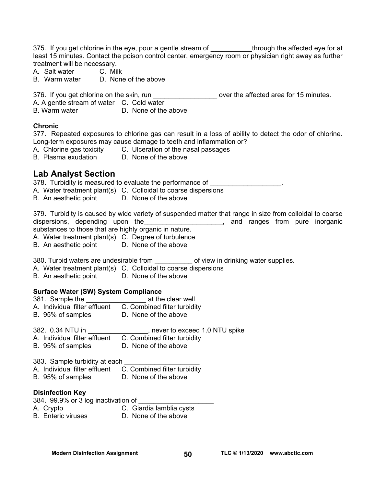375. If you get chlorine in the eye, pour a gentle stream of \_\_\_\_\_\_\_\_\_\_through the affected eye for at least 15 minutes. Contact the poison control center, emergency room or physician right away as further treatment will be necessary.

- A. Salt water C. Milk
- B. Warm water D. None of the above

376. If you get chlorine on the skin, run example over the affected area for 15 minutes.

A. A gentle stream of water C. Cold water

B. Warm water D. None of the above

## **Chronic**

377. Repeated exposures to chlorine gas can result in a loss of ability to detect the odor of chlorine. Long-term exposures may cause damage to teeth and inflammation or?

- A. Chlorine gas toxicity C. Ulceration of the nasal passages
- B. Plasma exudation **D. None of the above**

# **Lab Analyst Section**

378. Turbidity is measured to evaluate the performance of **EXECUTE:** 

A. Water treatment plant(s) C. Colloidal to coarse dispersions

B. An aesthetic point D. None of the above

379. Turbidity is caused by wide variety of suspended matter that range in size from colloidal to coarse dispersions, depending upon the the settled and ranges from pure inorganic substances to those that are highly organic in nature.

A. Water treatment plant(s) C. Degree of turbulence

B. An aesthetic point D. None of the above

380. Turbid waters are undesirable from \_\_\_\_\_\_\_\_\_\_\_ of view in drinking water supplies.

A. Water treatment plant(s) C. Colloidal to coarse dispersions

B. An aesthetic point D. None of the above

#### **Surface Water (SW) System Compliance**

381. Sample the **Example in the set of the clear well** A. Individual filter effluent C. Combined filter turbidity B. 95% of samples D. None of the above

382. 0.34 NTU in **the same of the set of the set of the set of the set of the set of the set of the set of the set of the set of the set of the set of the set of the set of the set of the set of the set of the set of the s** A. Individual filter effluent C. Combined filter turbidity B. 95% of samples D. None of the above

383. Sample turbidity at each

- A. Individual filter effluent C. Combined filter turbidity
- B. 95% of samples D. None of the above

## **Disinfection Key**

- 384. 99.9% or 3 log inactivation of
- A. Crypto C. Giardia lamblia cysts
- B. Enteric viruses **D. None of the above**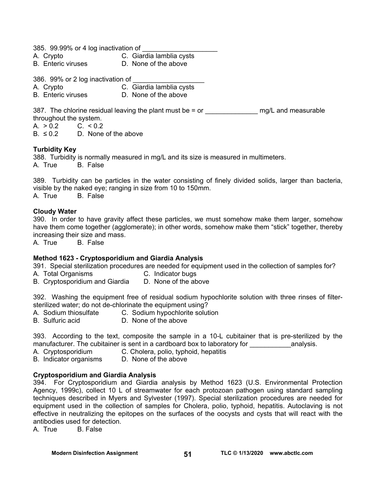385. 99.99% or 4 log inactivation of

- A. Crypto C. Giardia lamblia cysts
- B. Enteric viruses **D. None of the above**
- 386. 99% or 2 log inactivation of
- A. Crypto C. Giardia lamblia cysts
- B. Enteric viruses D. None of the above

387. The chlorine residual leaving the plant must be = or \_\_\_\_\_\_\_\_\_\_\_\_\_\_\_\_\_ mg/L and measurable throughout the system.

A.  $> 0.2$  C.  $< 0.2$ 

 $B \leq 0.2$  D. None of the above

## **Turbidity Key**

388. Turbidity is normally measured in mg/L and its size is measured in multimeters.

A. True B. False

389. Turbidity can be particles in the water consisting of finely divided solids, larger than bacteria, visible by the naked eye; ranging in size from 10 to 150mm.

A. True B. False

## **Cloudy Water**

390. In order to have gravity affect these particles, we must somehow make them larger, somehow have them come together (agglomerate); in other words, somehow make them "stick" together, thereby increasing their size and mass.

A. True B. False

## **Method 1623 - Cryptosporidium and Giardia Analysis**

391. Special sterilization procedures are needed for equipment used in the collection of samples for?

- A. Total Organisms C. Indicator bugs
- B. Cryptosporidium and Giardia D. None of the above

392. Washing the equipment free of residual sodium hypochlorite solution with three rinses of filtersterilized water; do not de-chlorinate the equipment using?

- A. Sodium thiosulfate C. Sodium hypochlorite solution
- B. Sulfuric acid D. None of the above

393. According to the text, composite the sample in a 10-L cubitainer that is pre-sterilized by the manufacturer. The cubitainer is sent in a cardboard box to laboratory for example analysis.

- A. Cryptosporidium C. Cholera, polio, typhoid, hepatitis
- B. Indicator organisms D. None of the above

# **Cryptosporidium and Giardia Analysis**

394. For Cryptosporidium and Giardia analysis by Method 1623 (U.S. Environmental Protection Agency, 1999c), collect 10 L of streamwater for each protozoan pathogen using standard sampling techniques described in Myers and Sylvester (1997). Special sterilization procedures are needed for equipment used in the collection of samples for Cholera, polio, typhoid, hepatitis. Autoclaving is not effective in neutralizing the epitopes on the surfaces of the oocysts and cysts that will react with the antibodies used for detection.